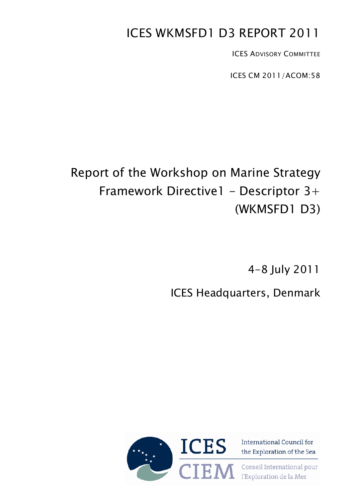# ICES WKMSFD1 D3 REPORT 2011

ICES ADVISORY COMMITTEE

ICES CM 2011/ACOM:58

# Report of the Workshop on Marine Strategy Framework Directive1 - Descriptor  $3+$ (WKMSFD1 D3)

4-8 July 2011

ICES Headquarters, Denmark



International Council for the Exploration of the Sea

Conseil International pour l'Exploration de la Mer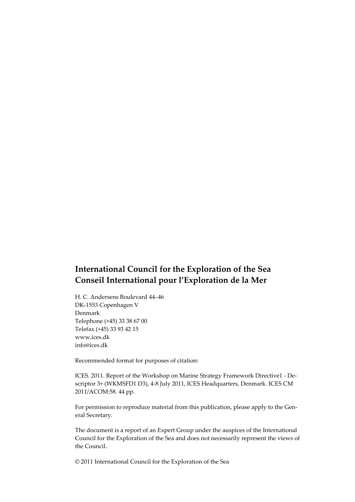## **International Council for the Exploration of the Sea Conseil International pour l'Exploration de la Mer**

H. C. Andersens Boulevard 44–46 DK-1553 Copenhagen V Denmark Telephone (+45) 33 38 67 00 Telefax (+45) 33 93 42 15 www.ices.dk info@ices.dk

Recommended format for purposes of citation:

ICES. 2011. Report of the Workshop on Marine Strategy Framework Directive1 - Descriptor 3+ (WKMSFD1 D3), 4-8 July 2011, ICES Headquarters, Denmark. ICES CM 2011/ACOM:58. 44 pp.

For permission to reproduce material from this publication, please apply to the General Secretary.

The document is a report of an Expert Group under the auspices of the International Council for the Exploration of the Sea and does not necessarily represent the views of the Council.

© 2011 International Council for the Exploration of the Sea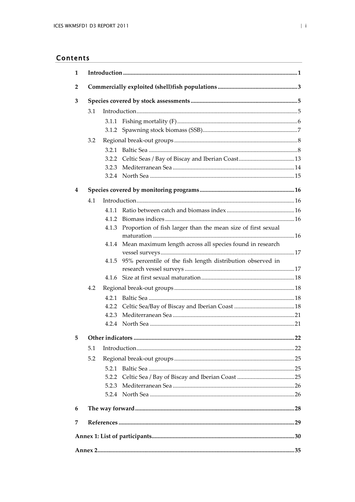## Contents

| 2<br>3<br>3.1<br>3.1.1<br>3.2<br>3.2.3<br>4<br>4.1<br>4.1.1<br>4.1.2<br>Proportion of fish larger than the mean size of first sexual<br>4.1.3 |
|-----------------------------------------------------------------------------------------------------------------------------------------------|
|                                                                                                                                               |
|                                                                                                                                               |
|                                                                                                                                               |
|                                                                                                                                               |
|                                                                                                                                               |
|                                                                                                                                               |
|                                                                                                                                               |
|                                                                                                                                               |
|                                                                                                                                               |
|                                                                                                                                               |
|                                                                                                                                               |
|                                                                                                                                               |
|                                                                                                                                               |
|                                                                                                                                               |
|                                                                                                                                               |
|                                                                                                                                               |
| 4.1.4 Mean maximum length across all species found in research                                                                                |
|                                                                                                                                               |
| 95% percentile of the fish length distribution observed in<br>4.1.5                                                                           |
|                                                                                                                                               |
| 4.1.6                                                                                                                                         |
| 4.2                                                                                                                                           |
|                                                                                                                                               |
|                                                                                                                                               |
| 4.2.3                                                                                                                                         |
|                                                                                                                                               |
| 5                                                                                                                                             |
| 5.1                                                                                                                                           |
| 5.2                                                                                                                                           |
| 5.2.1                                                                                                                                         |
| 5.2.2                                                                                                                                         |
| 5.2.3                                                                                                                                         |
|                                                                                                                                               |
| 6                                                                                                                                             |
| 7                                                                                                                                             |
|                                                                                                                                               |
|                                                                                                                                               |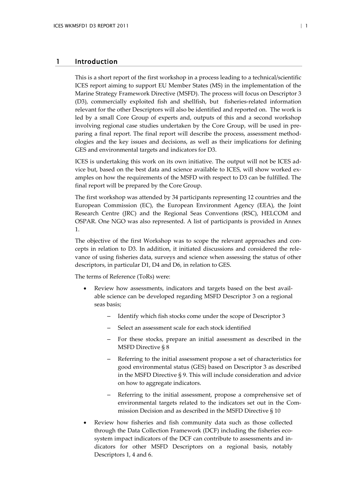## <span id="page-3-0"></span>1 Introduction

This is a short report of the first workshop in a process leading to a technical/scientific ICES report aiming to support EU Member States (MS) in the implementation of the Marine Strategy Framework Directive (MSFD). The process will focus on Descriptor 3 (D3), commercially exploited fish and shellfish, but fisheries-related information relevant for the other Descriptors will also be identified and reported on. The work is led by a small Core Group of experts and, outputs of this and a second workshop involving regional case studies undertaken by the Core Group, will be used in preparing a final report. The final report will describe the process, assessment methodologies and the key issues and decisions, as well as their implications for defining GES and environmental targets and indicators for D3.

ICES is undertaking this work on its own initiative. The output will not be ICES advice but, based on the best data and science available to ICES, will show worked examples on how the requirements of the MSFD with respect to D3 can be fulfilled. The final report will be prepared by the Core Group.

The first workshop was attended by 34 participants representing 12 countries and the European Commission (EC), the European Environment Agency (EEA), the Joint Research Centre (JRC) and the Regional Seas Conventions (RSC), HELCOM and OSPAR. One NGO was also represented. A list of participants is provided in Annex 1.

The objective of the first Workshop was to scope the relevant approaches and concepts in relation to D3. In addition, it initiated discussions and considered the relevance of using fisheries data, surveys and science when assessing the status of other descriptors, in particular D1, D4 and D6, in relation to GES.

The terms of Reference (ToRs) were:

- Review how assessments, indicators and targets based on the best available science can be developed regarding MSFD Descriptor 3 on a regional seas basis;
	- Identify which fish stocks come under the scope of Descriptor 3
	- Select an assessment scale for each stock identified
	- For these stocks, prepare an initial assessment as described in the MSFD Directive § 8
	- Referring to the initial assessment propose a set of characteristics for good environmental status (GES) based on Descriptor 3 as described in the MSFD Directive § 9. This will include consideration and advice on how to aggregate indicators.
	- Referring to the initial assessment, propose a comprehensive set of environmental targets related to the indicators set out in the Commission Decision and as described in the MSFD Directive § 10
- Review how fisheries and fish community data such as those collected through the Data Collection Framework (DCF) including the fisheries ecosystem impact indicators of the DCF can contribute to assessments and indicators for other MSFD Descriptors on a regional basis, notably Descriptors 1, 4 and 6.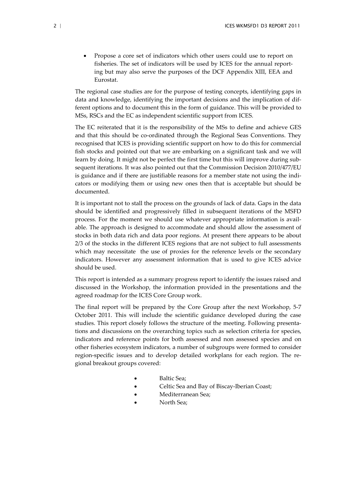• Propose a core set of indicators which other users could use to report on fisheries. The set of indicators will be used by ICES for the annual reporting but may also serve the purposes of the DCF Appendix XIII, EEA and Eurostat.

The regional case studies are for the purpose of testing concepts, identifying gaps in data and knowledge, identifying the important decisions and the implication of different options and to document this in the form of guidance. This will be provided to MSs, RSCs and the EC as independent scientific support from ICES.

The EC reiterated that it is the responsibility of the MSs to define and achieve GES and that this should be co-ordinated through the Regional Seas Conventions. They recognised that ICES is providing scientific support on how to do this for commercial fish stocks and pointed out that we are embarking on a significant task and we will learn by doing. It might not be perfect the first time but this will improve during subsequent iterations. It was also pointed out that the Commission Decision 2010/477/EU is guidance and if there are justifiable reasons for a member state not using the indicators or modifying them or using new ones then that is acceptable but should be documented.

It is important not to stall the process on the grounds of lack of data. Gaps in the data should be identified and progressively filled in subsequent iterations of the MSFD process. For the moment we should use whatever appropriate information is available. The approach is designed to accommodate and should allow the assessment of stocks in both data rich and data poor regions. At present there appears to be about 2/3 of the stocks in the different ICES regions that are not subject to full assessments which may necessitate the use of proxies for the reference levels or the secondary indicators. However any assessment information that is used to give ICES advice should be used.

This report is intended as a summary progress report to identify the issues raised and discussed in the Workshop, the information provided in the presentations and the agreed roadmap for the ICES Core Group work.

The final report will be prepared by the Core Group after the next Workshop, 5-7 October 2011. This will include the scientific guidance developed during the case studies. This report closely follows the structure of the meeting. Following presentations and discussions on the overarching topics such as selection criteria for species, indicators and reference points for both assessed and non assessed species and on other fisheries ecosystem indicators, a number of subgroups were formed to consider region-specific issues and to develop detailed workplans for each region. The regional breakout groups covered:

- Baltic Sea;
- Celtic Sea and Bay of Biscay-Iberian Coast;
- Mediterranean Sea;
- North Sea;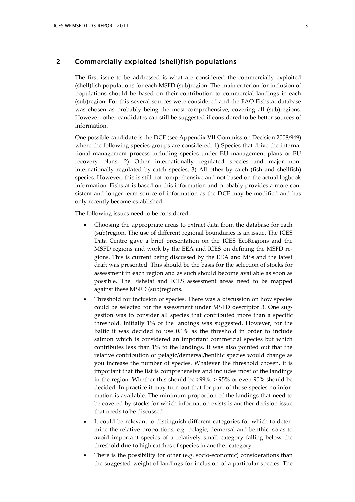## <span id="page-5-0"></span>2 Commercially exploited (shell)fish populations

The first issue to be addressed is what are considered the commercially exploited (shell)fish populations for each MSFD (sub)region. The main criterion for inclusion of populations should be based on their contribution to commercial landings in each (sub)region. For this several sources were considered and the FAO Fishstat database was chosen as probably being the most comprehensive, covering all (sub)regions. However, other candidates can still be suggested if considered to be better sources of information.

One possible candidate is the DCF (see Appendix VII Commission Decision 2008/949) where the following species groups are considered: 1) Species that drive the international management process including species under EU management plans or EU recovery plans; 2) Other internationally regulated species and major noninternationally regulated by-catch species; 3) All other by-catch (fish and shellfish) species. However, this is still not comprehensive and not based on the actual logbook information. Fishstat is based on this information and probably provides a more consistent and longer-term source of information as the DCF may be modified and has only recently become established.

The following issues need to be considered:

- Choosing the appropriate areas to extract data from the database for each (sub)region. The use of different regional boundaries is an issue. The ICES Data Centre gave a brief presentation on the ICES EcoRegions and the MSFD regions and work by the EEA and ICES on defining the MSFD regions. This is current being discussed by the EEA and MSs and the latest draft was presented. This should be the basis for the selection of stocks for assessment in each region and as such should become available as soon as possible. The Fishstat and ICES assessment areas need to be mapped against these MSFD (sub)regions.
- Threshold for inclusion of species. There was a discussion on how species could be selected for the assessment under MSFD descriptor 3. One suggestion was to consider all species that contributed more than a specific threshold. Initially 1% of the landings was suggested. However, for the Baltic it was decided to use 0.1% as the threshold in order to include salmon which is considered an important commercial species but which contributes less than 1% to the landings. It was also pointed out that the relative contribution of pelagic/demersal/benthic species would change as you increase the number of species. Whatever the threshold chosen, it is important that the list is comprehensive and includes most of the landings in the region. Whether this should be >99%, > 95% or even 90% should be decided. In practice it may turn out that for part of those species no information is available. The minimum proportion of the landings that need to be covered by stocks for which information exists is another decision issue that needs to be discussed.
- It could be relevant to distinguish different categories for which to determine the relative proportions, e.g. pelagic, demersal and benthic, so as to avoid important species of a relatively small category falling below the threshold due to high catches of species in another category.
- There is the possibility for other (e.g. socio-economic) considerations than the suggested weight of landings for inclusion of a particular species. The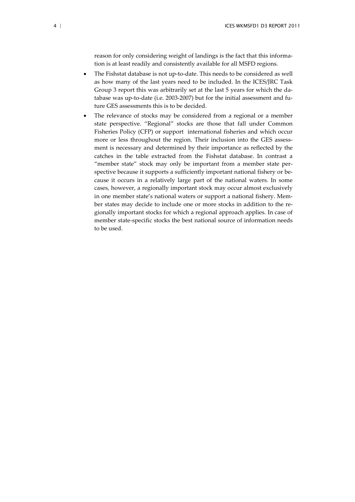reason for only considering weight of landings is the fact that this information is at least readily and consistently available for all MSFD regions.

- The Fishstat database is not up-to-date. This needs to be considered as well as how many of the last years need to be included. In the ICES/JRC Task Group 3 report this was arbitrarily set at the last 5 years for which the database was up-to-date (i.e. 2003-2007) but for the initial assessment and future GES assessments this is to be decided.
- The relevance of stocks may be considered from a regional or a member state perspective. "Regional" stocks are those that fall under Common Fisheries Policy (CFP) or support international fisheries and which occur more or less throughout the region. Their inclusion into the GES assessment is necessary and determined by their importance as reflected by the catches in the table extracted from the Fishstat database. In contrast a "member state" stock may only be important from a member state perspective because it supports a sufficiently important national fishery or because it occurs in a relatively large part of the national waters. In some cases, however, a regionally important stock may occur almost exclusively in one member state's national waters or support a national fishery. Member states may decide to include one or more stocks in addition to the regionally important stocks for which a regional approach applies. In case of member state-specific stocks the best national source of information needs to be used.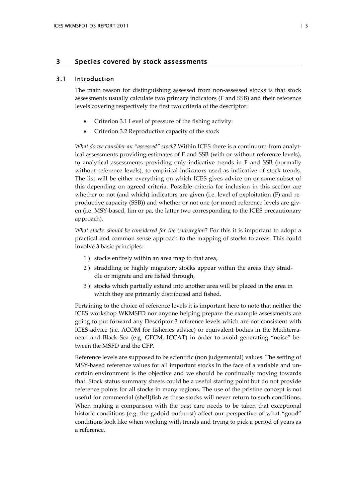## <span id="page-7-0"></span>3 Species covered by stock assessments

## 3.1 Introduction

<span id="page-7-1"></span>The main reason for distinguishing assessed from non-assessed stocks is that stock assessments usually calculate two primary indicators (F and SSB) and their reference levels covering respectively the first two criteria of the descriptor:

- Criterion 3.1 Level of pressure of the fishing activity:
- Criterion 3.2 Reproductive capacity of the stock

*What do we consider an "assessed" stock*? Within ICES there is a continuum from analytical assessments providing estimates of F and SSB (with or without reference levels), to analytical assessments providing only indicative trends in F and SSB (normally without reference levels), to empirical indicators used as indicative of stock trends. The list will be either everything on which ICES gives advice on or some subset of this depending on agreed criteria. Possible criteria for inclusion in this section are whether or not (and which) indicators are given (i.e. level of exploitation (F) and reproductive capacity (SSB)) and whether or not one (or more) reference levels are given (i.e. MSY-based, lim or pa, the latter two corresponding to the ICES precautionary approach).

*What stocks should be considered for the (sub)region*? For this it is important to adopt a practical and common sense approach to the mapping of stocks to areas. This could involve 3 basic principles:

- 1 ) stocks entirely within an area map to that area,
- 2 ) straddling or highly migratory stocks appear within the areas they straddle or migrate and are fished through,
- 3 ) stocks which partially extend into another area will be placed in the area in which they are primarily distributed and fished.

Pertaining to the choice of reference levels it is important here to note that neither the ICES workshop WKMSFD nor anyone helping prepare the example assessments are going to put forward any Descriptor 3 reference levels which are not consistent with ICES advice (i.e. ACOM for fisheries advice) or equivalent bodies in the Mediterranean and Black Sea (e.g. GFCM, ICCAT) in order to avoid generating "noise" between the MSFD and the CFP.

Reference levels are supposed to be scientific (non judgemental) values. The setting of MSY-based reference values for all important stocks in the face of a variable and uncertain environment is the objective and we should be continually moving towards that. Stock status summary sheets could be a useful starting point but do not provide reference points for all stocks in many regions. The use of the pristine concept is not useful for commercial (shell)fish as these stocks will never return to such conditions. When making a comparison with the past care needs to be taken that exceptional historic conditions (e.g. the gadoid outburst) affect our perspective of what "good" conditions look like when working with trends and trying to pick a period of years as a reference.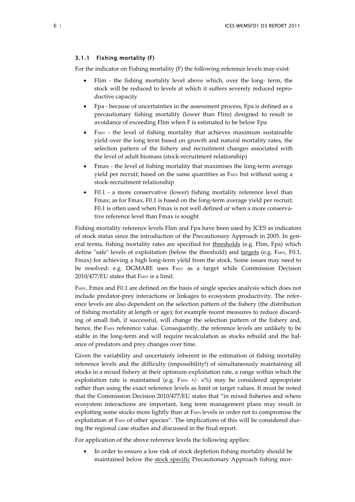#### <span id="page-8-0"></span>3.1.1 Fishing mortality (F)

For the indicator on Fishing mortality (F) the following reference levels may exist:

- Flim the fishing mortality level above which, over the long- term, the stock will be reduced to levels at which it suffers severely reduced reproductive capacity
- Fpa because of uncertainties in the assessment process, Fpa is defined as a precautionary fishing mortality (lower than Flim) designed to result in avoidance of exceeding Flim when F is estimated to be below Fpa
- F<sub>MSY</sub> the level of fishing mortality that achieves maximum sustainable yield over the long term based on growth and natural mortality rates, the selection pattern of the fishery and recruitment changes associated with the level of adult biomass (stock-recruitment relationship)
- Fmax the level of fishing mortality that maximises the long-term average yield per recruit; based on the same quantities as F<sub>MSY</sub> but without using a stock-recruitment relationship
- F0.1 a more conservative (lower) fishing mortality reference level than Fmax; as for Fmax, F0.1 is based on the long-term average yield per recruit; F0.1 is often used when Fmax is not well defined or when a more conservative reference level than Fmax is sought

Fishing mortality reference levels Flim and Fpa have been used by ICES as indicators of stock status since the introduction of the Precautionary Approach in 2005. In general terms, fishing mortality rates are specified for thresholds (e.g. Flim, Fpa) which define "safe" levels of exploitation (below the threshold) and  $\frac{targets}{\text{degree}}$  (e.g. F<sub>MSY</sub>, F0.1, Fmax) for achieving a high long-term yield from the stock. Some issues may need to be resolved: e.g. DGMARE uses FMSY as a target while Commission Decision 2010/477/EU states that FMSY is a limit.

FMSY, Fmax and F0.1 are defined on the basis of single species analysis which does not include predator-prey interactions or linkages to ecosystem productivity. The reference levels are also dependent on the selection pattern of the fishery (the distribution of fishing mortality at length or age); for example recent measures to reduce discarding of small fish, if successful, will change the selection pattern of the fishery and, hence, the FMSY reference value. Consequently, the reference levels are unlikely to be stable in the long-term and will require recalculation as stocks rebuild and the balance of predators and prey changes over time.

Given the variability and uncertainty inherent in the estimation of fishing mortality reference levels and the difficulty (impossibility!) of simultaneously maintaining all stocks in a mixed fishery at their optimum exploitation rate, a range within which the exploitation rate is maintained (e.g.  $F$ <sub>MSY</sub> +/-  $x$ %) may be considered appropriate rather than using the exact reference levels as limit or target values. It must be noted that the Commission Decision 2010/477/EU states that "in mixed fisheries and where ecosystem interactions are important, long term management plans may result in exploiting some stocks more lightly than at FMSY levels in order not to compromise the exploitation at FMSY of other species". The implications of this will be considered during the regional case studies and discussed in the final report.

For application of the above reference levels the following applies:

• In order to ensure a low risk of stock depletion fishing mortality should be maintained below the stock specific Precautionary Approach fishing mor-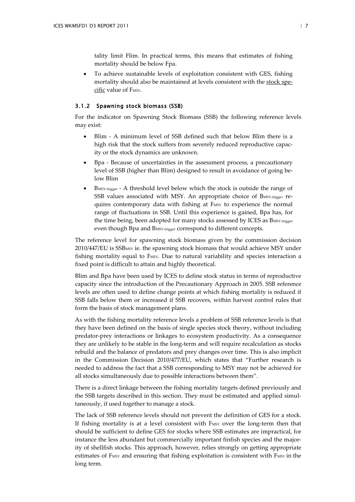tality limit Flim. In practical terms, this means that estimates of fishing mortality should be below Fpa.

• To achieve sustainable levels of exploitation consistent with GES, fishing mortality should also be maintained at levels consistent with the stock specific value of FMSY.

## <span id="page-9-0"></span>3.1.2 Spawning stock biomass (SSB)

For the indicator on Spawning Stock Biomass (SSB) the following reference levels may exist:

- Blim A minimum level of SSB defined such that below Blim there is a high risk that the stock suffers from severely reduced reproductive capacity or the stock dynamics are unknown.
- Bpa Because of uncertainties in the assessment process, a precautionary level of SSB (higher than Blim) designed to result in avoidance of going below Blim
- BMSY-trigger A threshold level below which the stock is outside the range of SSB values associated with MSY. An appropriate choice of BMSY-trigger requires contemporary data with fishing at FMSY to experience the normal range of fluctuations in SSB. Until this experience is gained, Bpa has, for the time being, been adopted for many stocks assessed by ICES as BMSY-trigger even though Bpa and BMSY-trigger correspond to different concepts.

The reference level for spawning stock biomass given by the commission decision 2010/447/EU is SSBMSY ie. the spawning stock biomass that would achieve MSY under fishing mortality equal to FMSY. Due to natural variability and species interaction a fixed point is difficult to attain and highly theoretical.

Blim and Bpa have been used by ICES to define stock status in terms of reproductive capacity since the introduction of the Precautionary Approach in 2005. SSB reference levels are often used to define change points at which fishing mortality is reduced if SSB falls below them or increased if SSB recovers, within harvest control rules that form the basis of stock management plans.

As with the fishing mortality reference levels a problem of SSB reference levels is that they have been defined on the basis of single species stock theory, without including predator-prey interactions or linkages to ecosystem productivity. As a consequence they are unlikely to be stable in the long-term and will require recalculation as stocks rebuild and the balance of predators and prey changes over time. This is also implicit in the Commission Decision 2010/477/EU, which states that "Further research is needed to address the fact that a SSB corresponding to MSY may not be achieved for all stocks simultaneously due to possible interactions between them".

There is a direct linkage between the fishing mortality targets defined previously and the SSB targets described in this section. They must be estimated and applied simultaneously, if used together to manage a stock.

The lack of SSB reference levels should not prevent the definition of GES for a stock. If fishing mortality is at a level consistent with FMSY over the long-term then that should be sufficient to define GES for stocks where SSB estimates are impractical, for instance the less abundant but commercially important finfish species and the majority of shellfish stocks. This approach, however, relies strongly on getting appropriate estimates of FMSY and ensuring that fishing exploitation is consistent with FMSY in the long term.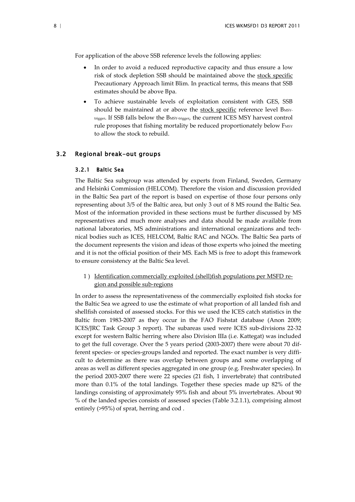For application of the above SSB reference levels the following applies:

- In order to avoid a reduced reproductive capacity and thus ensure a low risk of stock depletion SSB should be maintained above the stock specific Precautionary Approach limit Blim. In practical terms, this means that SSB estimates should be above Bpa.
- To achieve sustainable levels of exploitation consistent with GES, SSB should be maintained at or above the stock specific reference level BMSYtrigger. If SSB falls below the BMSY-trigger, the current ICES MSY harvest control rule proposes that fishing mortality be reduced proportionately below FMSY to allow the stock to rebuild.

## <span id="page-10-0"></span>3.2 Regional break-out groups

#### <span id="page-10-1"></span>3.2.1 Baltic Sea

The Baltic Sea subgroup was attended by experts from Finland, Sweden, Germany and Helsinki Commission (HELCOM). Therefore the vision and discussion provided in the Baltic Sea part of the report is based on expertise of those four persons only representing about 3/5 of the Baltic area, but only 3 out of 8 MS round the Baltic Sea. Most of the information provided in these sections must be further discussed by MS representatives and much more analyses and data should be made available from national laboratories, MS administrations and international organizations and technical bodies such as ICES, HELCOM, Baltic RAC and NGOs. The Baltic Sea parts of the document represents the vision and ideas of those experts who joined the meeting and it is not the official position of their MS. Each MS is free to adopt this framework to ensure consistency at the Baltic Sea level.

1 ) Identification commercially exploited (shell)fish populations per MSFD region and possible sub-regions

In order to assess the representativeness of the commercially exploited fish stocks for the Baltic Sea we agreed to use the estimate of what proportion of all landed fish and shellfish consisted of assessed stocks. For this we used the ICES catch statistics in the Baltic from 1983-2007 as they occur in the FAO Fishstat database (Anon 2009; ICES/JRC Task Group 3 report). The subareas used were ICES sub-divisions 22-32 except for western Baltic herring where also Division IIIa (i.e. Kattegat) was included to get the full coverage. Over the 5 years period (2003-2007) there were about 70 different species- or species-groups landed and reported. The exact number is very difficult to determine as there was overlap between groups and some overlapping of areas as well as different species aggregated in one group (e.g. Freshwater species). In the period 2003-2007 there were 22 species (21 fish, 1 invertebrate) that contributed more than 0.1% of the total landings. Together these species made up 82% of the landings consisting of approximately 95% fish and about 5% invertebrates. About 90 % of the landed species consists of assessed species (Table 3.2.1.1), comprising almost entirely (>95%) of sprat, herring and cod .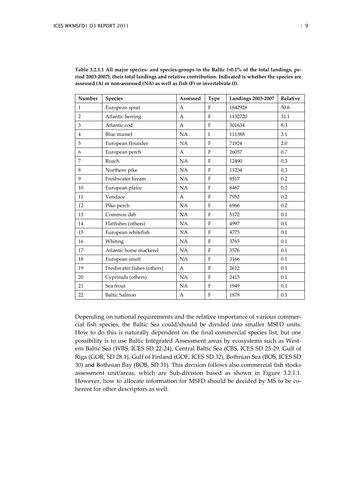| Number         | <b>Species</b>             | Assessed     | <b>Type</b>  | <b>Landings 2003-2007</b> | Relative |
|----------------|----------------------------|--------------|--------------|---------------------------|----------|
| $\mathbf{1}$   | European sprat             | $\mathsf{A}$ | F            | 1842928                   | 50.6     |
| $\overline{2}$ | Atlantic herring           | A            | F            | 1132720                   | 31.1     |
| 3              | Atlantic cod               | A            | F            | 301634                    | 8.3      |
| $\overline{4}$ | <b>Blue</b> mussel         | NA           | $\mathbf{I}$ | 111388                    | 3.1      |
| 5              | European flounder          | NA           | F            | 71924                     | 2.0      |
| 6              | European perch             | A            | F            | 26057                     | 0.7      |
| 7              | Roach                      | NA           | F            | 12490                     | 0.3      |
| 8              | Northern pike              | NA           | F            | 11234                     | 0.3      |
| 9              | Freshwater bream           | NA           | $\mathbf{F}$ | 8517                      | 0.2      |
| 10             | European plaice            | NA           | $\rm F$      | 8467                      | 0.2      |
| 11             | Vendace                    | A            | F            | 7952                      | 0.2      |
| 12             | Pike-perch                 | NA           | F            | 6966                      | 0.2      |
| 13             | Common dab                 | NA           | F            | 5172                      | 0.1      |
| 14             | Flatfishes (others)        | NA           | F            | 4997                      | 0.1      |
| 15             | European whitefish         | NA           | F            | 4775                      | 0.1      |
| 16             | Whiting                    | NA           | F            | 3765                      | 0.1      |
| 17             | Atlantic horse mackerel    | NA           | $\mathbf{F}$ | 3576                      | 0.1      |
| 18             | European smelt             | NA           | $\mathbf F$  | 3166                      | 0.1      |
| 19             | Freshwater fishes (others) | A            | F            | 2612                      | 0.1      |
| 20             | Cyprinids (others)         | NA           | F            | 2415                      | 0.1      |
| 21             | Sea trout                  | NA           | $\mathbf F$  | 1949                      | 0.1      |
| 22             | <b>Baltic Salmon</b>       | A            | F            | 1878                      | 0.1      |

**Table 3.2.1.1 All major species‐ and species‐groups in the Baltic (>0.1% of the total landings, period 2003‐2007), their total landings and relative contribution. Indicated is whether the species are assessed (A) or non‐assessed (NA) as well as fish (F) or invertebrate (I).**

Depending on national requirements and the relative importance of various commercial fish species, the Baltic Sea could/should be divided into smaller MSFD units. How to do this is naturally dependent on the final commercial species list, but one possibility is to use Baltic Integrated Assessment areas by ecosystems such as Western Baltic Sea (WBS, ICES SD 22-24), Central Baltic Sea (CBS, ICES SD 25-29, Gulf of Riga (GOR, SD 28.1), Gulf of Finland (GOF, ICES SD 32), Bothnian Sea (BOS, ICES SD 30) and Bothnian Bay (BOB, SD 31). This division follows also commercial fish stocks assessment unit/areas, which are Sub-division based as shown in Figure 3.2.1.1. However, how to allocate information for MSFD should be decided by MS to be coherent for other descriptors as well.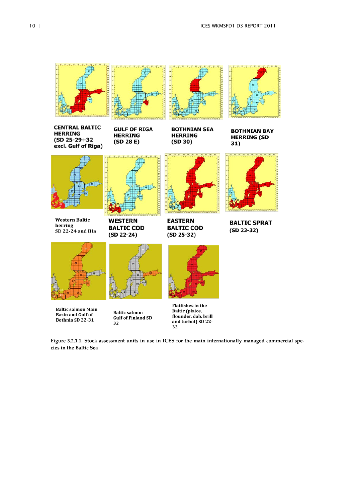

**Baltic salmon Main Basin and Gulf of** Bothnia SD 22-31

**Baltic salmon Gulf of Finland SD** 32

**Flatfishes in the Baltic** (plaice, flounder, dab, brill and turbot) SD 22-32

**Figure 3.2.1.1. Stock assessment units in use in ICES for the main internationally managed commercial species in the Baltic Sea**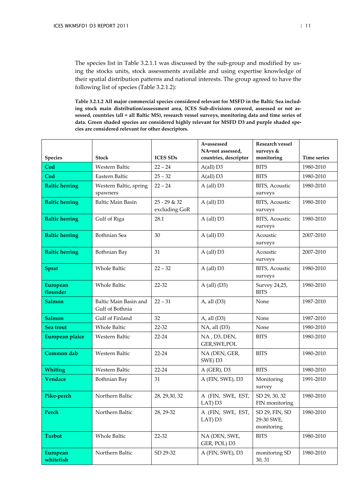The species list in Table 3.2.1.1 was discussed by the sub-group and modified by using the stocks units, stock assessments available and using expertise knowledge of their spatial distribution patterns and national interests. The group agreed to have the following list of species (Table 3.2.1.2):

**Table 3.2.1.2 All major commercial species considered relevant for MSFD in the Baltic Sea including stock main distribution/assessment area, ICES Sub-divisions covered, assessed or not assessed, countries (all = all Baltic MS), research vessel surveys, monitoring data and time series of data. Green shaded species are considered highly relevant for MSFD D3 and purple shaded species are considered relevant for other descriptors.**

|                              |                                          |                               | A=assessed<br>NA=not assessed, | Research vessel<br>surveys &               |                    |
|------------------------------|------------------------------------------|-------------------------------|--------------------------------|--------------------------------------------|--------------------|
| <b>Species</b>               | <b>Stock</b>                             | <b>ICES SDs</b>               | countries, descriptor          | monitoring                                 | <b>Time series</b> |
| Cod                          | Western Baltic                           | $22 - 24$                     | A(all) D3                      | <b>BITS</b>                                | 1980-2010          |
| Cod                          | Eastern Baltic                           | $25 - 32$                     | $A(all)$ D3                    | <b>BITS</b>                                | 1980-2010          |
| <b>Baltic herring</b>        | Western Baltic, spring<br>spawners       | $22 - 24$                     | A (all) D3                     | BITS, Acoustic<br>surveys                  | 1980-2010          |
| <b>Baltic herring</b>        | <b>Baltic Main Basin</b>                 | 25 - 29 & 32<br>excluding GoR | $A$ (all) $D3$                 | BITS, Acoustic<br>surveys                  | 1980-2010          |
| <b>Baltic herring</b>        | Gulf of Riga                             | 28.1                          | A (all) D3                     | BITS, Acoustic<br>surveys                  | 1980-2010          |
| <b>Baltic herring</b>        | Bothnian Sea                             | 30                            | $A$ (all) $D3$                 | Acoustic<br>surveys                        | 2007-2010          |
| <b>Baltic herring</b>        | Bothnian Bay                             | 31                            | A (all) D3                     | Acoustic<br>surveys                        | 2007-2010          |
| <b>Sprat</b>                 | Whole Baltic                             | $22 - 32$                     | $A$ (all) $D3$                 | BITS, Acoustic<br>surveys                  | 1980-2010          |
| <b>European</b><br>flounder  | <b>Whole Baltic</b>                      | 22-32                         | A (all) $(D3)$                 | Survey 24,25,<br><b>BITS</b>               | 1980-2010          |
| <b>Salmon</b>                | Baltic Main Basin and<br>Gulf of Bothnia | $22 - 31$                     | A, all $(D3)$                  | None                                       | 1987-2010          |
| Salmon                       | Gulf of Finland                          | 32                            | $A$ , all $(D3)$               | None                                       | 1987-2010          |
| Sea trout                    | <b>Whole Baltic</b>                      | 22-32                         | NA, all (D3)                   | None                                       | 1980-2010          |
| European plaice              | Western Baltic                           | $22 - 24$                     | NA, D3, DEN,<br>GER, SWE, POL  | <b>BITS</b>                                | 1980-2010          |
| Common dab                   | Western Baltic                           | $22 - 24$                     | NA (DEN, GER,<br>SWE) D3       | <b>BITS</b>                                | 1980-2010          |
| <b>Whiting</b>               | Western Baltic                           | $22 - 24$                     | $A$ (GER), D3                  | <b>BITS</b>                                | 1980-2010          |
| <b>Vendace</b>               | Bothnian Bay                             | 31                            | A (FIN, SWE), D3               | Monitoring<br>survey                       | 1991-2010          |
| Pike-perch                   | Northern Baltic                          | 28, 29, 30, 32                | A (FIN, SWE, EST,<br>LAT) D3   | SD 29, 30, 32<br>FIN monitoring            | 1980-2010          |
| Perch                        | Northern Baltic                          | 28, 29-32                     | A (FIN, SWE, EST,<br>LAT) D3   | SD 29, FIN, SD<br>29-30 SWE,<br>monitoring | 1980-2010          |
| <b>Turbot</b>                | Whole Baltic                             | 22-32                         | NA (DEN, SWE,<br>GER, POL) D3  | <b>BITS</b>                                | 1980-2010          |
| <b>European</b><br>whitefish | Northern Baltic                          | SD 29-32                      | A (FIN, SWE), D3               | monitoring SD<br>30, 31                    | 1980-2010          |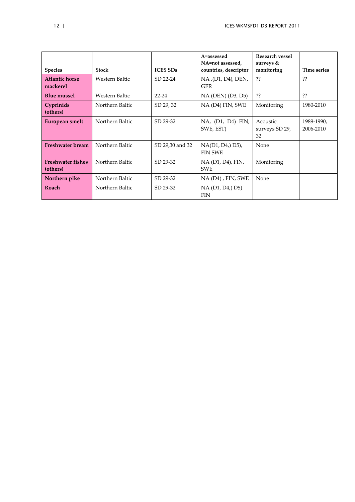|                                      |                       |                 | A=assessed<br>NA=not assessed,     | Research vessel<br>surveys $&$   |                         |
|--------------------------------------|-----------------------|-----------------|------------------------------------|----------------------------------|-------------------------|
| <b>Species</b>                       | <b>Stock</b>          | <b>ICES SDs</b> | countries, descriptor              | monitoring                       | Time series             |
| <b>Atlantic horse</b><br>mackerel    | <b>Western Baltic</b> | SD 22-24        | NA, (D1, D4), DEN,<br><b>GER</b>   | ??                               | ??                      |
| <b>Blue mussel</b>                   | Western Baltic        | $22 - 24$       | NA (DEN) (D3, D5)                  | ??                               | ??                      |
| Cyprinids<br>(others)                | Northern Baltic       | SD 29, 32       | NA (D4) FIN, SWE                   | Monitoring                       | 1980-2010               |
| European smelt                       | Northern Baltic       | SD 29-32        | NA, (D1, D4) FIN,<br>SWE, EST)     | Acoustic<br>surveys SD 29,<br>32 | 1989-1990,<br>2006-2010 |
| <b>Freshwater bream</b>              | Northern Baltic       | SD 29,30 and 32 | NA(D1, D4,) D5),<br><b>FIN SWE</b> | None                             |                         |
| <b>Freshwater fishes</b><br>(others) | Northern Baltic       | SD 29-32        | NA (D1, D4), FIN,<br><b>SWE</b>    | Monitoring                       |                         |
| Northern pike                        | Northern Baltic       | SD 29-32        | NA (D4), FIN, SWE                  | None                             |                         |
| Roach                                | Northern Baltic       | SD 29-32        | NA (D1, D4,) D5)<br><b>FIN</b>     |                                  |                         |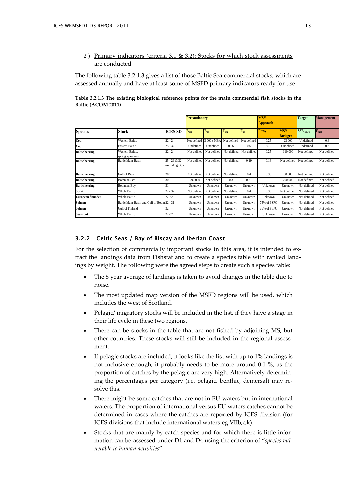## 2) Primary indicators (criteria 3.1 & 3.2): Stocks for which stock assessments are conducted

The following table 3.2.1.3 gives a list of those Baltic Sea commercial stocks, which are assessed annually and have at least some of MSFD primary indicators ready for use:

**Table 3.2.1.3 The existing biological reference points for the main commercial fish stocks in the Baltic (ACOM 2011)** 

|                          |                                             |                                 | <b>Precautionary</b> |             |             | <b>MSY</b><br><b>Approach</b> |             | <b>Target</b>                 | <b>Management</b>         |                  |
|--------------------------|---------------------------------------------|---------------------------------|----------------------|-------------|-------------|-------------------------------|-------------|-------------------------------|---------------------------|------------------|
| <b>Species</b>           | <b>Stock</b>                                | <b>ICES SD</b>                  | $B_{lim}$            | $B_{pa}$    | $F_{lim}$   | $F_{pa}$                      | <b>Fmsy</b> | <b>MSY</b><br><b>Btrigger</b> | <b>SSB</b> <sub>MGT</sub> | $F_{\text{mgt}}$ |
| Cod                      | Western Baltic                              | $22 - 24$                       | Not defined          | 3 000 t MBA | Not defined | Not defined                   | 0.25        | 23 000                        | Undefined                 | 0.6              |
| Cod                      | Eastern Baltic                              | $25 - 32$                       | Undefined            | Undefined   | 0.96        | 0.6                           | 0.3         | Undefined                     | Undefined                 | 0.3              |
| <b>Baltic herring</b>    | Western Baltic.<br>spring spawners          | $22 - 24$                       | Not defined          | Not defined | Not defined | Not defined                   | 0.25        | 110 000                       | Not defined               | Not defined      |
| <b>Baltic herring</b>    | <b>Baltic Main Basin</b>                    | $25 - 29 & 32$<br>excluding GoR | Not defined          | Not defined | Not defined | 0.19                          | 0.16        | Not defined                   | Not defined               | Not defined      |
| <b>Baltic herring</b>    | Gulf of Riga                                | 28.1                            | Not defined          | Not defined | Not defined | 0.4                           | 0.35        | 60 000                        | Not defined               | Not defined      |
| <b>Baltic herring</b>    | <b>Bothnian Sea</b>                         | 30                              | 290 000              | Not defined | 0.3         | 0.21                          | 0.19        | 200 000                       | Not defined               | Not defined      |
| <b>Baltic herring</b>    | <b>Bothnian Bay</b>                         | 31                              | Unknown              | Unknown     | Unknown     | Unknown                       | Unknown     | Unknown                       | Not defined               | Not defined      |
| <b>Sprat</b>             | <b>Whole Baltic</b>                         | $22 - 32$                       | Not defined          | Not defined | Not defined | 0.4                           | 0.35        | Not defined                   | Not defined               | Not defined      |
| <b>European flounder</b> | <b>Whole Baltic</b>                         | $22 - 32$                       | Unknown              | Unknown     | Unknown     | Unknown                       | Unknown     | Unknown                       | Not defined               | Not defined      |
| <b>Salmon</b>            | Baltic Main Basin and Gulf of Bothn 22 - 31 |                                 | Unknown              | Unknown     | Unknown     | Unknown                       | 75% of PSPC | Unknown                       | Not defined               | Not defined      |
| <b>Salmon</b>            | <b>Gulf of Finland</b>                      | 32                              | Unknown              | Unknown     | Unknown     | Unknown                       | 75% of PSPC | Unknown                       | Not defined               | Not defined      |
| Sea trout                | <b>Whole Baltic</b>                         | $22 - 32$                       | Unknown              | Unknown     | Unknown     | Unknown                       | Unknown     | Unknown                       | Not defined               | Not defined      |

## <span id="page-15-0"></span>3.2.2 Celtic Seas / Bay of Biscay and Iberian Coast

For the selection of commercially important stocks in this area, it is intended to extract the landings data from Fishstat and to create a species table with ranked landings by weight. The following were the agreed steps to create such a species table:

- The 5 year average of landings is taken to avoid changes in the table due to noise.
- The most updated map version of the MSFD regions will be used, which includes the west of Scotland.
- Pelagic/ migratory stocks will be included in the list, if they have a stage in their life cycle in these two regions.
- There can be stocks in the table that are not fished by adjoining MS, but other countries. These stocks will still be included in the regional assessment.
- If pelagic stocks are included, it looks like the list with up to 1% landings is not inclusive enough, it probably needs to be more around 0.1 %, as the proportion of catches by the pelagic are very high. Alternatively determining the percentages per category (i.e. pelagic, benthic, demersal) may resolve this.
- There might be some catches that are not in EU waters but in international waters. The proportion of international versus EU waters catches cannot be determined in cases where the catches are reported by ICES division (for ICES divisions that include international waters eg VIIb,c,k).
- Stocks that are mainly by-catch species and for which there is little information can be assessed under D1 and D4 using the criterion of "*species vulnerable to human activities*".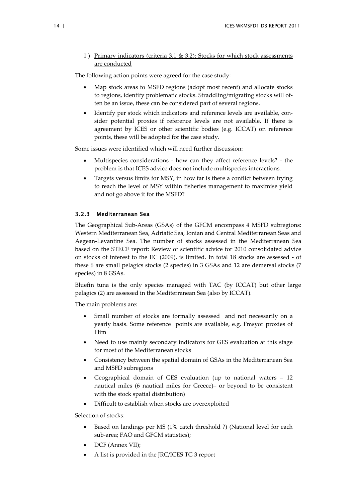1) Primary indicators (criteria 3.1 & 3.2): Stocks for which stock assessments are conducted

The following action points were agreed for the case study:

- Map stock areas to MSFD regions (adopt most recent) and allocate stocks to regions, identify problematic stocks. Straddling/migrating stocks will often be an issue, these can be considered part of several regions.
- Identify per stock which indicators and reference levels are available, consider potential proxies if reference levels are not available. If there is agreement by ICES or other scientific bodies (e.g. ICCAT) on reference points, these will be adopted for the case study.

Some issues were identified which will need further discussion:

- Multispecies considerations how can they affect reference levels? the problem is that ICES advice does not include multispecies interactions.
- Targets versus limits for MSY, in how far is there a conflict between trying to reach the level of MSY within fisheries management to maximise yield and not go above it for the MSFD?

#### <span id="page-16-0"></span>3.2.3 Mediterranean Sea

The Geographical Sub-Areas (GSAs) of the GFCM encompass 4 MSFD subregions: Western Mediterranean Sea, Adriatic Sea, Ionian and Central Mediterranean Seas and Aegean-Levantine Sea. The number of stocks assessed in the Mediterranean Sea based on the STECF report: Review of scientific advice for 2010 consolidated advice on stocks of interest to the EC (2009), is limited. In total 18 stocks are assessed - of these 6 are small pelagics stocks (2 species) in 3 GSAs and 12 are demersal stocks (7 species) in 8 GSAs.

Bluefin tuna is the only species managed with TAC (by ICCAT) but other large pelagics (2) are assessed in the Mediterranean Sea (also by ICCAT).

The main problems are:

- Small number of stocks are formally assessed and not necessarily on a yearly basis. Some reference points are available, e.g. Fmsyor proxies of Flim
- Need to use mainly secondary indicators for GES evaluation at this stage for most of the Mediterranean stocks
- Consistency between the spatial domain of GSAs in the Mediterranean Sea and MSFD subregions
- Geographical domain of GES evaluation (up to national waters 12 nautical miles (6 nautical miles for Greece)– or beyond to be consistent with the stock spatial distribution)
- Difficult to establish when stocks are overexploited

Selection of stocks:

- Based on landings per MS (1% catch threshold ?) (National level for each sub-area; FAO and GFCM statistics);
- DCF (Annex VII);
- A list is provided in the JRC/ICES TG 3 report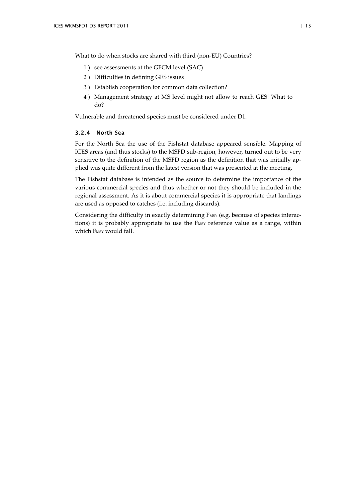What to do when stocks are shared with third (non-EU) Countries?

- 1 ) see assessments at the GFCM level (SAC)
- 2 ) Difficulties in defining GES issues
- 3 ) Establish cooperation for common data collection?
- 4 ) Management strategy at MS level might not allow to reach GES! What to do?

Vulnerable and threatened species must be considered under D1.

### <span id="page-17-0"></span>3.2.4 North Sea

For the North Sea the use of the Fishstat database appeared sensible. Mapping of ICES areas (and thus stocks) to the MSFD sub-region, however, turned out to be very sensitive to the definition of the MSFD region as the definition that was initially applied was quite different from the latest version that was presented at the meeting.

The Fishstat database is intended as the source to determine the importance of the various commercial species and thus whether or not they should be included in the regional assessment. As it is about commercial species it is appropriate that landings are used as opposed to catches (i.e. including discards).

Considering the difficulty in exactly determining FMSY (e.g. because of species interactions) it is probably appropriate to use the FMSY reference value as a range, within which FMSY would fall.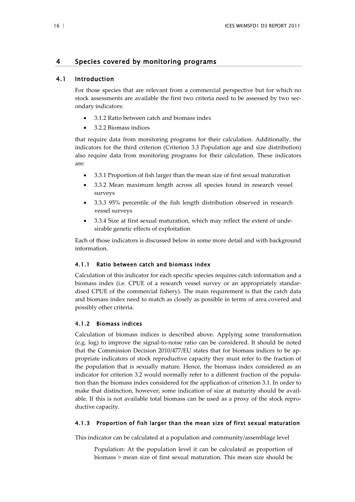## <span id="page-18-0"></span>4 Species covered by monitoring programs

## 4.1 Introduction

<span id="page-18-1"></span>For those species that are relevant from a commercial perspective but for which no stock assessments are available the first two criteria need to be assessed by two secondary indicators:

- 3.1.2 Ratio between catch and biomass index
- 3.2.2 Biomass indices

that require data from monitoring programs for their calculation. Additionally, the indicators for the third criterion (Criterion 3.3 Population age and size distribution) also require data from monitoring programs for their calculation. These indicators are:

- 3.3.1 Proportion of fish larger than the mean size of first sexual maturation
- 3.3.2 Mean maximum length across all species found in research vessel surveys
- 3.3.3 95% percentile of the fish length distribution observed in research vessel surveys
- 3.3.4 Size at first sexual maturation, which may reflect the extent of undesirable genetic effects of exploitation

Each of those indicators is discussed below in some more detail and with background information.

### <span id="page-18-2"></span>4.1.1 Ratio between catch and biomass index

Calculation of this indicator for each specific species requires catch information and a biomass index (i.e. CPUE of a research vessel survey or an appropriately standardised CPUE of the commercial fishery). The main requirement is that the catch data and biomass index need to match as closely as possible in terms of area covered and possibly other criteria.

## <span id="page-18-3"></span>4.1.2 Biomass indices

Calculation of biomass indices is described above. Applying some transformation (e.g. log) to improve the signal-to-noise ratio can be considered. It should be noted that the Commission Decision 2010/477/EU states that for biomass indices to be appropriate indicators of stock reproductive capacity they must refer to the fraction of the population that is sexually mature. Hence, the biomass index considered as an indicator for criterion 3.2 would normally refer to a different fraction of the population than the biomass index considered for the application of criterion 3.1. In order to make that distinction, however, some indication of size at maturity should be available. If this is not available total biomass can be used as a proxy of the stock reproductive capacity.

#### <span id="page-18-4"></span>4.1.3 Proportion of fish larger than the mean size of first sexual maturation

This indicator can be calculated at a population and community/assemblage level

Population: At the population level it can be calculated as proportion of biomass > mean size of first sexual maturation. This mean size should be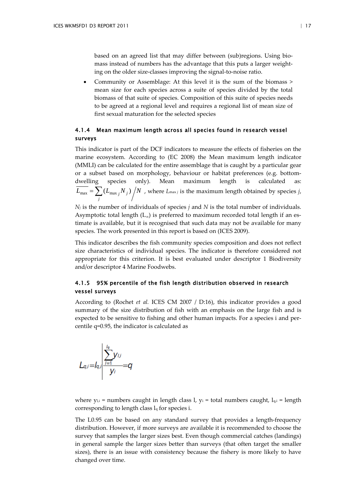based on an agreed list that may differ between (sub)regions. Using biomass instead of numbers has the advantage that this puts a larger weighting on the older size-classes improving the signal-to-noise ratio.

• Community or Assemblage: At this level it is the sum of the biomass > mean size for each species across a suite of species divided by the total biomass of that suite of species. Composition of this suite of species needs to be agreed at a regional level and requires a regional list of mean size of first sexual maturation for the selected species

## <span id="page-19-0"></span>4.1.4 Mean maximum length across all species found in research vessel surveys

This indicator is part of the DCF indicators to measure the effects of fisheries on the marine ecosystem. According to (EC 2008) the Mean maximum length indicator (MMLI) can be calculated for the entire assemblage that is caught by a particular gear or a subset based on morphology, behaviour or habitat preferences (e.g. bottomdwelling species only). Mean maximum length is calculated as:  $L_{\text{max}} = \sum (L_{\text{max}} |N_i|) / N$  $\overline{f_{\text{max}}} = \sum_j (L_{\text{max }j} N_j) / N$  , where  $L_{\text{max }j}$  is the maximum length obtained by species *j*,

*Nj* is the number of individuals of species *j* and *N* is the total number of individuals. Asymptotic total length  $(L_{\infty})$  is preferred to maximum recorded total length if an estimate is available, but it is recognised that such data may not be available for many species. The work presented in this report is based on [\(ICES 2009\)](#page-31-1).

This indicator describes the fish community species composition and does not reflect size characteristics of individual species. The indicator is therefore considered not appropriate for this criterion. It is best evaluated under descriptor 1 Biodiversity and/or descriptor 4 Marine Foodwebs.

## <span id="page-19-1"></span>4.1.5 95% percentile of the fish length distribution observed in research vessel surveys

According to (Rochet *et al.* ICES CM 2007 / D:16), this indicator provides a good summary of the size distribution of fish with an emphasis on the large fish and is expected to be sensitive to fishing and other human impacts. For a species i and percentile q=0.95, the indicator is calculated as

$$
L_{q,i}=I_{q,i} \frac{\sum_{i=1}^{I_{q}} y_{i,i}}{y_{i}}=q
$$

where  $y_{i,i}$  = numbers caught in length class l,  $y_i$  = total numbers caught,  $l_{qi}$  = length corresponding to length class lq for species i.

The L0.95 can be based on any standard survey that provides a length-frequency distribution. However, if more surveys are available it is recommended to choose the survey that samples the larger sizes best. Even though commercial catches (landings) in general sample the larger sizes better than surveys (that often target the smaller sizes), there is an issue with consistency because the fishery is more likely to have changed over time.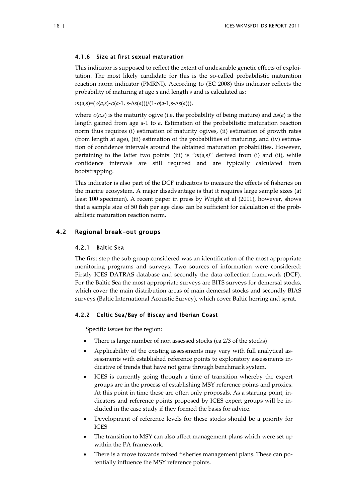#### <span id="page-20-0"></span>4.1.6 Size at first sexual maturation

This indicator is supposed to reflect the extent of undesirable genetic effects of exploitation. The most likely candidate for this is the so-called probabilistic maturation reaction norm indicator (PMRNI). According to (EC 2008) this indicator reflects the probability of maturing at age *a* and length *s* and is calculated as:

$$
m(a,s)=(o(a,s)-o(a-1, s-\Delta s(a)))/(1-o(a-1, s-\Delta s(a))),
$$

where  $o(a,s)$  is the maturity ogive (i.e. the probability of being mature) and  $\Delta s(a)$  is the length gained from age *a*-1 to *a*. Estimation of the probabilistic maturation reaction norm thus requires (i) estimation of maturity ogives, (ii) estimation of growth rates (from length at age), (iii) estimation of the probabilities of maturing, and (iv) estimation of confidence intervals around the obtained maturation probabilities. However, pertaining to the latter two points: (iii) is " $m(a,s)$ " derived from (i) and (ii), while confidence intervals are still required and are typically calculated from bootstrapping.

This indicator is also part of the DCF indicators to measure the effects of fisheries on the marine ecosystem. A major disadvantage is that it requires large sample sizes (at least 100 specimen). A recent paper in press by Wright et al (2011), however, shows that a sample size of 50 fish per age class can be sufficient for calculation of the probabilistic maturation reaction norm.

## <span id="page-20-1"></span>4.2 Regional break-out groups

## <span id="page-20-2"></span>4.2.1 Baltic Sea

The first step the sub-group considered was an identification of the most appropriate monitoring programs and surveys. Two sources of information were considered: Firstly ICES DATRAS database and secondly the data collection framework (DCF). For the Baltic Sea the most appropriate surveys are BITS surveys for demersal stocks, which cover the main distribution areas of main demersal stocks and secondly BIAS surveys (Baltic International Acoustic Survey), which cover Baltic herring and sprat.

### <span id="page-20-3"></span>4.2.2 Celtic Sea/Bay of Biscay and Iberian Coast

Specific issues for the region:

- There is large number of non assessed stocks (ca 2/3 of the stocks)
- Applicability of the existing assessments may vary with full analytical assessments with established reference points to exploratory assessments indicative of trends that have not gone through benchmark system.
- ICES is currently going through a time of transition whereby the expert groups are in the process of establishing MSY reference points and proxies. At this point in time these are often only proposals. As a starting point, indicators and reference points proposed by ICES expert groups will be included in the case study if they formed the basis for advice.
- Development of reference levels for these stocks should be a priority for ICES
- The transition to MSY can also affect management plans which were set up within the PA framework.
- There is a move towards mixed fisheries management plans. These can potentially influence the MSY reference points.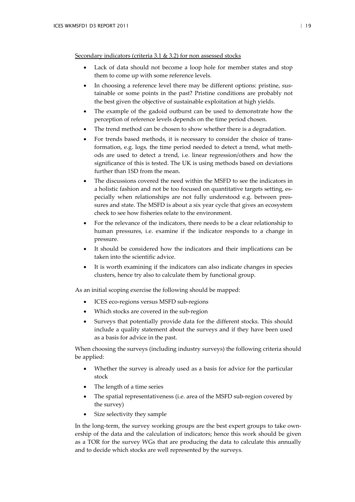Secondary indicators (criteria 3.1 & 3.2) for non assessed stocks

- Lack of data should not become a loop hole for member states and stop them to come up with some reference levels.
- In choosing a reference level there may be different options: pristine, sustainable or some points in the past? Pristine conditions are probably not the best given the objective of sustainable exploitation at high yields.
- The example of the gadoid outburst can be used to demonstrate how the perception of reference levels depends on the time period chosen.
- The trend method can be chosen to show whether there is a degradation.
- For trends based methods, it is necessary to consider the choice of transformation, e.g. logs*,* the time period needed to detect a trend, what methods are used to detect a trend, i.e. linear regression/others and how the significance of this is tested. The UK is using methods based on deviations further than 1SD from the mean.
- The discussions covered the need within the MSFD to see the indicators in a holistic fashion and not be too focused on quantitative targets setting, especially when relationships are not fully understood e.g. between pressures and state. The MSFD is about a six year cycle that gives an ecosystem check to see how fisheries relate to the environment.
- For the relevance of the indicators, there needs to be a clear relationship to human pressures, i.e. examine if the indicator responds to a change in pressure.
- It should be considered how the indicators and their implications can be taken into the scientific advice.
- It is worth examining if the indicators can also indicate changes in species clusters, hence try also to calculate them by functional group.

As an initial scoping exercise the following should be mapped:

- ICES eco-regions versus MSFD sub-regions
- Which stocks are covered in the sub-region
- Surveys that potentially provide data for the different stocks. This should include a quality statement about the surveys and if they have been used as a basis for advice in the past.

When choosing the surveys (including industry surveys) the following criteria should be applied:

- Whether the survey is already used as a basis for advice for the particular stock
- The length of a time series
- The spatial representativeness (i.e. area of the MSFD sub-region covered by the survey)
- Size selectivity they sample

In the long-term, the survey working groups are the best expert groups to take ownership of the data and the calculation of indicators; hence this work should be given as a TOR for the survey WGs that are producing the data to calculate this annually and to decide which stocks are well represented by the surveys.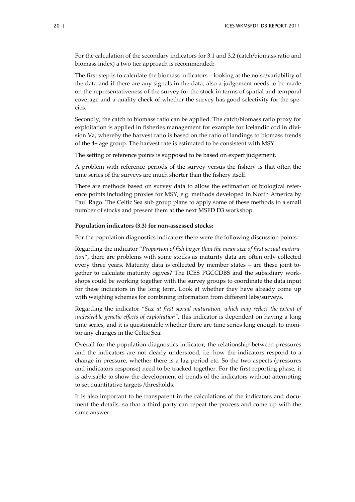For the calculation of the secondary indicators for 3.1 and 3.2 (catch/biomass ratio and biomass index) a two tier approach is recommended:

The first step is to calculate the biomass indicators – looking at the noise/variability of the data and if there are any signals in the data, also a judgement needs to be made on the representativeness of the survey for the stock in terms of spatial and temporal coverage and a quality check of whether the survey has good selectivity for the species.

Secondly, the catch to biomass ratio can be applied. The catch/biomass ratio proxy for exploitation is applied in fisheries management for example for Icelandic cod in division Va, whereby the harvest ratio is based on the ratio of landings to biomass trends of the 4+ age group. The harvest rate is estimated to be consistent with MSY.

The setting of reference points is supposed to be based on expert judgement.

A problem with reference periods of the survey versus the fishery is that often the time series of the surveys are much shorter than the fishery itself.

There are methods based on survey data to allow the estimation of biological reference points including proxies for MSY, e.g. methods developed in North America by Paul Rago. The Celtic Sea sub group plans to apply some of these methods to a small number of stocks and present them at the next MSFD D3 workshop.

#### **Population indicators (3.3) for non-assessed stocks:**

For the population diagnostics indicators there were the following discussion points:

Regarding the indicator "*Proportion of fish larger than the mean size of first sexual maturation*", there are problems with some stocks as maturity data are often only collected every three years. Maturity data is collected by member states – are these joint together to calculate maturity ogives? The ICES PGCCDBS and the subsidiary workshops could be working together with the survey groups to coordinate the data input for these indicators in the long term. Look at whether they have already come up with weighing schemes for combining information from different labs/surveys.

Regarding the indicator *"Size at first sexual maturation, which may reflect the extent of undesirable genetic effects of exploitation",* this indicator is dependent on having a long time series, and it is questionable whether there are time series long enough to monitor any changes in the Celtic Sea.

Overall for the population diagnostics indicator, the relationship between pressures and the indicators are not clearly understood, i.e. how the indicators respond to a change in pressure, whether there is a lag period etc. So the two aspects (pressures and indicators response) need to be tracked together. For the first reporting phase, it is advisable to show the development of trends of the indicators without attempting to set quantitative targets /thresholds.

It is also important to be transparent in the calculations of the indicators and document the details, so that a third party can repeat the process and come up with the same answer.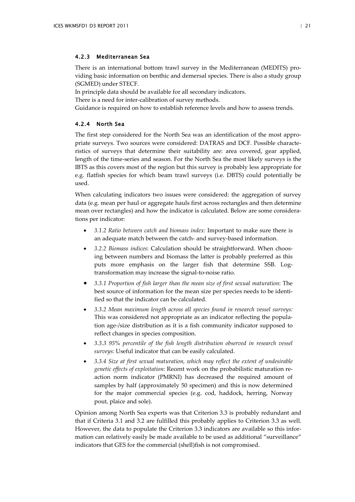#### <span id="page-23-0"></span>4.2.3 Mediterranean Sea

There is an international bottom trawl survey in the Mediterranean (MEDITS) providing basic information on benthic and demersal species. There is also a study group (SGMED) under STECF.

In principle data should be available for all secondary indicators.

There is a need for inter-calibration of survey methods.

<span id="page-23-1"></span>Guidance is required on how to establish reference levels and how to assess trends.

## 4.2.4 North Sea

The first step considered for the North Sea was an identification of the most appropriate surveys. Two sources were considered: DATRAS and DCF. Possible characteristics of surveys that determine their suitability are: area covered, gear applied, length of the time-series and season. For the North Sea the most likely surveys is the IBTS as this covers most of the region but this survey is probably less appropriate for e.g. flatfish species for which beam trawl surveys (i.e. DBTS) could potentially be used.

When calculating indicators two issues were considered: the aggregation of survey data (e.g. mean per haul or aggregate hauls first across rectangles and then determine mean over rectangles) and how the indicator is calculated. Below are some considerations per indicator:

- *3.1.2 Ratio between catch and biomass index:* Important to make sure there is an adequate match between the catch- and survey-based information.
- *3.2.2 Biomass indices*: Calculation should be straightforward. When choosing between numbers and biomass the latter is probably preferred as this puts more emphasis on the larger fish that determine SSB. Logtransformation may increase the signal-to-noise ratio.
- *3.3.1 Proportion of fish larger than the mean size of first sexual maturation*: The best source of information for the mean size per species needs to be identified so that the indicator can be calculated.
- *3.3.2 Mean maximum length across all species found in research vessel surveys:*  This was considered not appropriate as an indicator reflecting the population age-/size distribution as it is a fish community indicator supposed to reflect changes in species composition.
- *3.3.3 95% percentile of the fish length distribution observed in research vessel surveys:* Useful indicator that can be easily calculated.
- *3.3.4 Size at first sexual maturation, which may reflect the extent of undesirable genetic effects of exploitation:* Recent work on the probabilistic maturation reaction norm indicator (PMRNI) has decreased the required amount of samples by half (approximately 50 specimen) and this is now determined for the major commercial species (e.g. cod, haddock, herring, Norway pout, plaice and sole).

Opinion among North Sea experts was that Criterion 3.3 is probably redundant and that if Criteria 3.1 and 3.2 are fulfilled this probably applies to Criterion 3.3 as well. However, the data to populate the Criterion 3.3 indicators are available so this information can relatively easily be made available to be used as additional "surveillance" indicators that GES for the commercial (shell)fish is not compromised.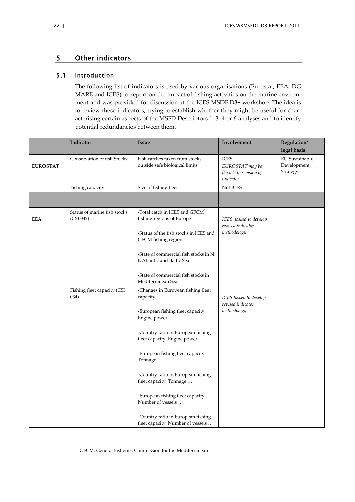## <span id="page-24-0"></span>5 Other indicators

## 5.1 Introduction

<span id="page-24-1"></span>The following list of indicators is used by various organisations (Eurostat, EEA, DG MARE and ICES) to report on the impact of fishing activities on the marine environment and was provided for discussion at the ICES MSDF D3+ workshop. The idea is to review these indicators, trying to establish whether they might be useful for characterising certain aspects of the MSFD Descriptors 1, 3, 4 or 6 analyses and to identify potential redundancies between them.

|                 | Indicator                                 | <b>Issue</b>                                                                                                                                                                                                    | Involvement                                                            | Regulation/<br>legal basis                |
|-----------------|-------------------------------------------|-----------------------------------------------------------------------------------------------------------------------------------------------------------------------------------------------------------------|------------------------------------------------------------------------|-------------------------------------------|
| <b>EUROSTAT</b> | Conservation of fish Stocks               | Fish catches taken from stocks<br>outside safe biological limits                                                                                                                                                | <b>ICES</b><br>EUROSTAT may be<br>flexible to revision of<br>indicator | EU Sustainable<br>Development<br>Strategy |
|                 | Fishing capacity                          | Size of fishing fleet                                                                                                                                                                                           | Not ICES                                                               |                                           |
|                 |                                           |                                                                                                                                                                                                                 |                                                                        |                                           |
| <b>EEA</b>      | Status of marine fish stocks<br>(CSI 032) | -Total catch in ICES and GFCM <sup>1</sup><br>fishing regions of Europe<br>-Status of the fish stocks in ICES and<br>GFCM fishing regions<br>-State of commercial fish stocks in N<br>E Atlantic and Baltic Sea | ICES tasked to develop<br>revised indicator<br>methodology             |                                           |
|                 |                                           | -State of commercial fish stocks in<br>Mediterranean Sea                                                                                                                                                        |                                                                        |                                           |
|                 | Fishing fleet capacity (CSI<br>034)       | -Changes in European fishing fleet<br>capacity<br>-European fishing fleet capacity:<br>Engine power                                                                                                             | ICES tasked to develop<br>revised indicator<br>methodology             |                                           |
|                 |                                           | -Country ratio in European fishing<br>fleet capacity: Engine power                                                                                                                                              |                                                                        |                                           |
|                 |                                           | -European fishing fleet capacity:<br>Tonnage                                                                                                                                                                    |                                                                        |                                           |
|                 |                                           | -Country ratio in European fishing<br>fleet capacity: Tonnage                                                                                                                                                   |                                                                        |                                           |
|                 |                                           | -European fishing fleet capacity:<br>Number of vessels                                                                                                                                                          |                                                                        |                                           |
|                 |                                           | -Country ratio in European fishing<br>fleet capacity: Number of vessels                                                                                                                                         |                                                                        |                                           |

<span id="page-24-2"></span><sup>1</sup> GFCM: General Fisheries Commission for the Mediterranean

l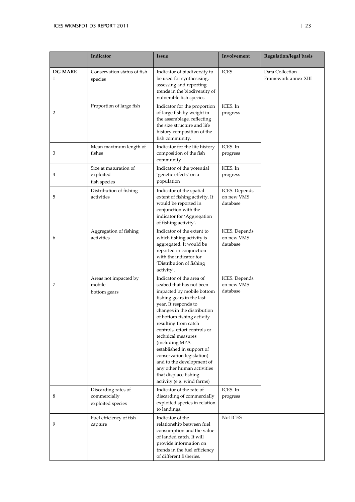|                         | Indicator                                                | Issue                                                                                                                                                                                                                                                                                                                                                                                                                                                                           | Involvement                             | Regulation/legal basis                  |
|-------------------------|----------------------------------------------------------|---------------------------------------------------------------------------------------------------------------------------------------------------------------------------------------------------------------------------------------------------------------------------------------------------------------------------------------------------------------------------------------------------------------------------------------------------------------------------------|-----------------------------------------|-----------------------------------------|
| <b>DG MARE</b><br>1     | Conservation status of fish<br>species                   | Indicator of biodiversity to<br>be used for synthesising,<br>assessing and reporting<br>trends in the biodiversity of<br>vulnerable fish species                                                                                                                                                                                                                                                                                                                                | <b>ICES</b>                             | Data Collection<br>Framework annex XIII |
| 2                       | Proportion of large fish                                 | Indicator for the proportion<br>of large fish by weight in<br>the assemblage, reflecting<br>the size structure and life<br>history composition of the<br>fish community.                                                                                                                                                                                                                                                                                                        | ICES. In<br>progress                    |                                         |
| 3                       | Mean maximum length of<br>fishes                         | Indicator for the life history<br>composition of the fish<br>community                                                                                                                                                                                                                                                                                                                                                                                                          | ICES. In<br>progress                    |                                         |
| $\overline{\mathbf{4}}$ | Size at maturation of<br>exploited<br>fish species       | Indicator of the potential<br>'genetic effects' on a<br>population                                                                                                                                                                                                                                                                                                                                                                                                              | ICES. In<br>progress                    |                                         |
| 5                       | Distribution of fishing<br>activities                    | Indicator of the spatial<br>extent of fishing activity. It<br>would be reported in<br>conjunction with the<br>indicator for 'Aggregation<br>of fishing activity'.                                                                                                                                                                                                                                                                                                               | ICES. Depends<br>on new VMS<br>database |                                         |
| 6                       | Aggregation of fishing<br>activities                     | Indicator of the extent to<br>which fishing activity is<br>aggregated. It would be<br>reported in conjunction<br>with the indicator for<br>'Distribution of fishing<br>activity'.                                                                                                                                                                                                                                                                                               | ICES. Depends<br>on new VMS<br>database |                                         |
| 7                       | Areas not impacted by<br>mobile<br>bottom gears          | Indicator of the area of<br>seabed that has not been<br>impacted by mobile bottom<br>fishing gears in the last<br>year. It responds to<br>changes in the distribution<br>of bottom fishing activity<br>resulting from catch<br>controls, effort controls or<br>technical measures<br>(including MPA<br>established in support of<br>conservation legislation)<br>and to the development of<br>any other human activities<br>that displace fishing<br>activity (e.g. wind farms) | ICES. Depends<br>on new VMS<br>database |                                         |
| 8                       | Discarding rates of<br>commercially<br>exploited species | Indicator of the rate of<br>discarding of commercially<br>exploited species in relation<br>to landings.                                                                                                                                                                                                                                                                                                                                                                         | ICES. In<br>progress                    |                                         |
| 9                       | Fuel efficiency of fish<br>capture                       | Indicator of the<br>relationship between fuel<br>consumption and the value<br>of landed catch. It will<br>provide information on<br>trends in the fuel efficiency<br>of different fisheries.                                                                                                                                                                                                                                                                                    | Not ICES                                |                                         |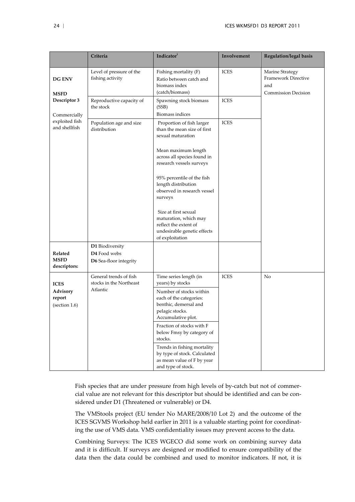|                                        | Criteria                                                  | Indicator                                                                                                                | Involvement | <b>Regulation/legal basis</b>                                               |
|----------------------------------------|-----------------------------------------------------------|--------------------------------------------------------------------------------------------------------------------------|-------------|-----------------------------------------------------------------------------|
| <b>DG ENV</b><br><b>MSFD</b>           | Level of pressure of the<br>fishing activity              | Fishing mortality (F)<br>Ratio between catch and<br>biomass index<br>(catch/biomass)                                     | <b>ICES</b> | Marine Strategy<br>Framework Directive<br>and<br><b>Commission Decision</b> |
| Descriptor 3<br>Commercially           | Reproductive capacity of<br>the stock                     | Spawning stock biomass<br>(SSB)<br><b>Biomass indices</b>                                                                | <b>ICES</b> |                                                                             |
| exploited fish<br>and shellfish        | Population age and size<br>distribution                   | Proportion of fish larger<br>than the mean size of first<br>sexual maturation                                            | <b>ICES</b> |                                                                             |
|                                        |                                                           | Mean maximum length<br>across all species found in<br>research vessels surveys                                           |             |                                                                             |
|                                        |                                                           | 95% percentile of the fish<br>length distribution<br>observed in research vessel<br>surveys                              |             |                                                                             |
|                                        |                                                           | Size at first sexual<br>maturation, which may<br>reflect the extent of<br>undesirable genetic effects<br>of exploitation |             |                                                                             |
| Related<br><b>MSFD</b><br>descriptors: | D1 Biodiversity<br>D4 Food webs<br>D6 Sea-floor integrity |                                                                                                                          |             |                                                                             |
| <b>ICES</b>                            | General trends of fish<br>stocks in the Northeast         | Time series length (in<br>years) by stocks                                                                               | <b>ICES</b> | No                                                                          |
| Advisory<br>report<br>(section 1.6)    | Atlantic                                                  | Number of stocks within<br>each of the categories:<br>benthic, demersal and<br>pelagic stocks.<br>Accumulative plot.     |             |                                                                             |
|                                        |                                                           | Fraction of stocks with F<br>below Fmsy by category of<br>stocks.                                                        |             |                                                                             |
|                                        |                                                           | Trends in fishing mortality<br>by type of stock. Calculated<br>as mean value of F by year<br>and type of stock.          |             |                                                                             |

Fish species that are under pressure from high levels of by-catch but not of commercial value are not relevant for this descriptor but should be identified and can be considered under D1 (Threatened or vulnerable) or D4.

The VMStools project (EU tender No MARE/2008/10 Lot 2) and the outcome of the ICES SGVMS Workshop held earlier in 2011 is a valuable starting point for coordinating the use of VMS data. VMS confidentiality issues may prevent access to the data.

Combining Surveys: The ICES WGECO did some work on combining survey data and it is difficult. If surveys are designed or modified to ensure compatibility of the data then the data could be combined and used to monitor indicators. If not, it is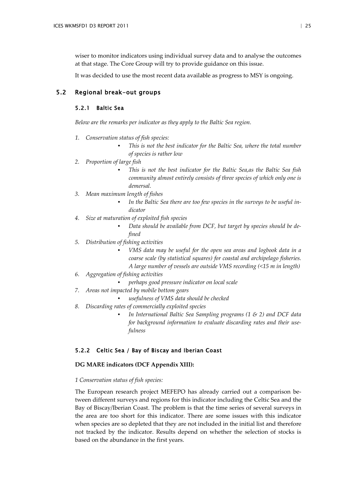wiser to monitor indicators using individual survey data and to analyse the outcomes at that stage. The Core Group will try to provide guidance on this issue.

<span id="page-27-0"></span>It was decided to use the most recent data available as progress to MSY is ongoing.

## 5.2 Regional break-out groups

## <span id="page-27-1"></span>5.2.1 Baltic Sea

*Below are the remarks per indicator as they apply to the Baltic Sea region.*

- *1. Conservation status of fish species:*
	- *This is not the best indicator for the Baltic Sea, where the total number of species is rather low*
- *2. Proportion of large fish* 
	- *This is not the best indicator for the Baltic Sea,as the Baltic Sea fish community almost entirely consists of three species of which only one is demersal.*
- *3. Mean maximum length of fishes* 
	- In the Baltic Sea there are too few species in the surveys to be useful in*dicator*
- *4. Size at maturation of exploited fish species* 
	- *Data should be available from DCF, but target by species should be defined*
- *5. Distribution of fishing activities* 
	- *VMS data may be useful for the open sea areas and logbook data in a coarse scale (by statistical squares) for coastal and archipelago fisheries. A large number of vessels are outside VMS recording (<15 m in length)*
- *6. Aggregation of fishing activities* 
	- *perhaps good pressure indicator on local scale*
- *7. Areas not impacted by mobile bottom gears*
	- *usefulness of VMS data should be checked*
- *8. Discarding rates of commercially exploited species* 
	- *In International Baltic Sea Sampling programs (1 & 2) and DCF data for background information to evaluate discarding rates and their usefulness*

## <span id="page-27-2"></span>5.2.2 Celtic Sea / Bay of Biscay and Iberian Coast

### **DG MARE indicators (DCF Appendix XIII):**

#### *1 Conservation status of fish species:*

The European research project MEFEPO has already carried out a comparison between different surveys and regions for this indicator including the Celtic Sea and the Bay of Biscay/Iberian Coast. The problem is that the time series of several surveys in the area are too short for this indicator. There are some issues with this indicator when species are so depleted that they are not included in the initial list and therefore not tracked by the indicator. Results depend on whether the selection of stocks is based on the abundance in the first years.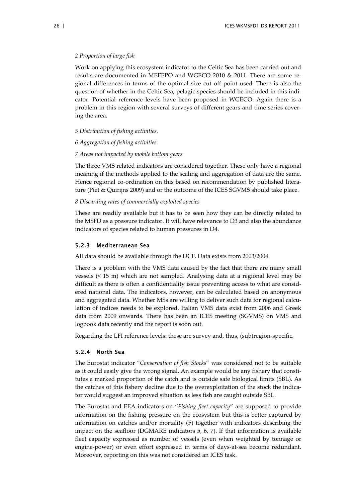#### *2 Proportion of large fish*

Work on applying this ecosystem indicator to the Celtic Sea has been carried out and results are documented in MEFEPO and WGECO 2010 & 2011. There are some regional differences in terms of the optimal size cut off point used. There is also the question of whether in the Celtic Sea, pelagic species should be included in this indicator. Potential reference levels have been proposed in WGECO. Again there is a problem in this region with several surveys of different gears and time series covering the area.

#### *5 Distribution of fishing activities.*

#### *6 Aggregation of fishing activities*

### *7 Areas not impacted by mobile bottom gears*

The three VMS related indicators are considered together. These only have a regional meaning if the methods applied to the scaling and aggregation of data are the same. Hence regional co-ordination on this based on recommendation by published literature [\(Piet & Quirijns 2009\)](#page-31-2) and or the outcome of the ICES SGVMS should take place.

#### *8 Discarding rates of commercially exploited species*

These are readily available but it has to be seen how they can be directly related to the MSFD as a pressure indicator. It will have relevance to D3 and also the abundance indicators of species related to human pressures in D4.

#### <span id="page-28-0"></span>5.2.3 Mediterranean Sea

All data should be available through the DCF. Data exists from 2003/2004.

There is a problem with the VMS data caused by the fact that there are many small vessels (< 15 m) which are not sampled. Analysing data at a regional level may be difficult as there is often a confidentiality issue preventing access to what are considered national data. The indicators, however, can be calculated based on anonymous and aggregated data. Whether MSs are willing to deliver such data for regional calculation of indices needs to be explored. Italian VMS data exist from 2006 and Greek data from 2009 onwards. There has been an ICES meeting (SGVMS) on VMS and logbook data recently and the report is soon out.

Regarding the LFI reference levels: these are survey and, thus, (sub)region-specific.

#### <span id="page-28-1"></span>5.2.4 North Sea

The Eurostat indicator "*Conservation of fish Stocks*" was considered not to be suitable as it could easily give the wrong signal. An example would be any fishery that constitutes a marked proportion of the catch and is outside safe biological limits (SBL). As the catches of this fishery decline due to the overexploitation of the stock the indicator would suggest an improved situation as less fish are caught outside SBL.

The Eurostat and EEA indicators on "*Fishing fleet capacity*" are supposed to provide information on the fishing pressure on the ecosystem but this is better captured by information on catches and/or mortality (F) together with indicators describing the impact on the seafloor (DGMARE indicators 5, 6, 7). If that information is available fleet capacity expressed as number of vessels (even when weighted by tonnage or engine-power) or even effort expressed in terms of days-at-sea become redundant. Moreover, reporting on this was not considered an ICES task.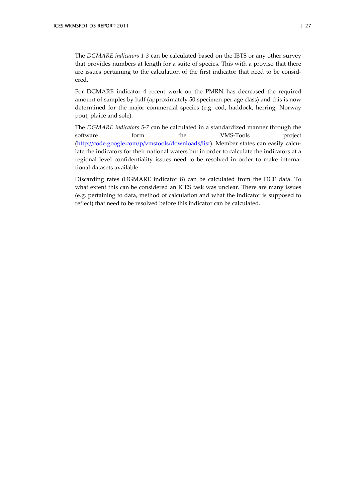The *DGMARE indicators 1-3* can be calculated based on the IBTS or any other survey that provides numbers at length for a suite of species. This with a proviso that there are issues pertaining to the calculation of the first indicator that need to be considered.

For DGMARE indicator 4 recent work on the PMRN has decreased the required amount of samples by half (approximately 50 specimen per age class) and this is now determined for the major commercial species (e.g. cod, haddock, herring, Norway pout, plaice and sole).

The *DGMARE indicators 5-7* can be calculated in a standardized manner through the software form the VMS-Tools project [\(http://code.google.com/p/vmstools/downloads/list\)](http://code.google.com/p/vmstools/downloads/list). Member states can easily calculate the indicators for their national waters but in order to calculate the indicators at a regional level confidentiality issues need to be resolved in order to make international datasets available.

Discarding rates (DGMARE indicator 8) can be calculated from the DCF data. To what extent this can be considered an ICES task was unclear. There are many issues (e.g. pertaining to data, method of calculation and what the indicator is supposed to reflect) that need to be resolved before this indicator can be calculated.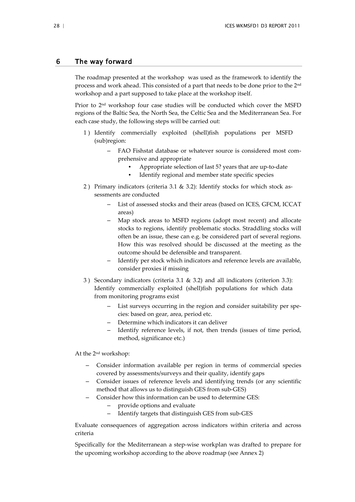## <span id="page-30-0"></span>6 The way forward

The roadmap presented at the workshop was used as the framework to identify the process and work ahead. This consisted of a part that needs to be done prior to the 2nd workshop and a part supposed to take place at the workshop itself.

Prior to 2nd workshop four case studies will be conducted which cover the MSFD regions of the Baltic Sea, the North Sea, the Celtic Sea and the Mediterranean Sea. For each case study, the following steps will be carried out:

- 1 ) Identify commercially exploited (shell)fish populations per MSFD (sub)region:
	- FAO Fishstat database or whatever source is considered most comprehensive and appropriate
		- Appropriate selection of last 5? years that are up-to-date
		- Identify regional and member state specific species
- 2) Primary indicators (criteria 3.1 & 3.2): Identify stocks for which stock assessments are conducted
	- List of assessed stocks and their areas (based on ICES, GFCM, ICCAT areas)
	- Map stock areas to MSFD regions (adopt most recent) and allocate stocks to regions, identify problematic stocks. Straddling stocks will often be an issue, these can e.g. be considered part of several regions. How this was resolved should be discussed at the meeting as the outcome should be defensible and transparent.
	- Identify per stock which indicators and reference levels are available, consider proxies if missing
- 3 ) Secondary indicators (criteria 3.1 & 3.2) and all indicators (criterion 3.3): Identify commercially exploited (shell)fish populations for which data from monitoring programs exist
	- List surveys occurring in the region and consider suitability per species: based on gear, area, period etc.
	- Determine which indicators it can deliver
	- Identify reference levels, if not, then trends (issues of time period, method, significance etc.)

At the 2nd workshop:

- Consider information available per region in terms of commercial species covered by assessments/surveys and their quality, identify gaps
- Consider issues of reference levels and identifying trends (or any scientific method that allows us to distinguish GES from sub-GES)
- Consider how this information can be used to determine GES:
	- provide options and evaluate
	- Identify targets that distinguish GES from sub-GES

Evaluate consequences of aggregation across indicators within criteria and across criteria

Specifically for the Mediterranean a step-wise workplan was drafted to prepare for the upcoming workshop according to the above roadmap (see Annex 2)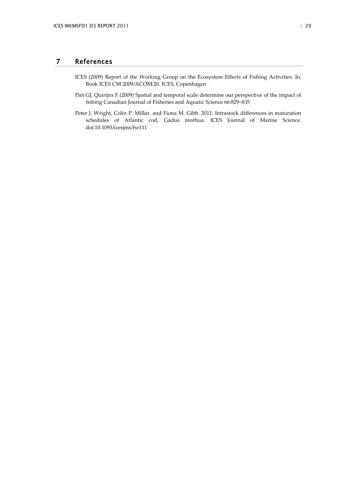## <span id="page-31-0"></span>7 References

- <span id="page-31-1"></span>ICES (2009) Report of the Working Group on the Ecosystem Effects of Fishing Activities. In, Book ICES CM 2009/ACOM:20. ICES, Copenhagen
- <span id="page-31-2"></span>Piet GJ, Quirijns F (2009) Spatial and temporal scale determine our perspective of the impact of fishing Canadian Journal of Fisheries and Aquatic Science 66:829–835
- Peter J. Wright, Colin P. Millar, and Fiona M. Gibb. 2011. Intrastock differences in maturation schedules of Atlantic cod, Gadus morhua. ICES Journal of Marine Science. doi:10.1093/icesjms/fsr111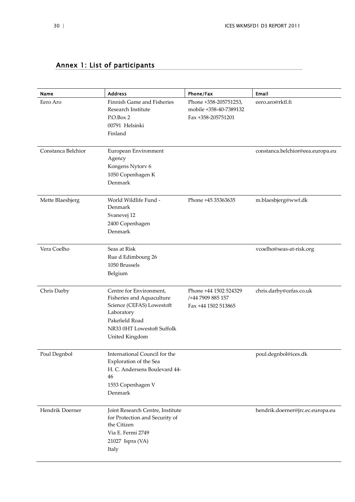## <span id="page-32-0"></span>Annex 1: List of participants

| Name               | <b>Address</b>                                                                  | Phone/Fax                                                             | Email                            |
|--------------------|---------------------------------------------------------------------------------|-----------------------------------------------------------------------|----------------------------------|
| Eero Aro           | Finnish Game and Fisheries<br>Research Institute<br>P.O.Box 2<br>00791 Helsinki | Phone +358-205751253,<br>mobile +358-40-7389132<br>Fax +358-205751201 | eero.aro@rktl.fi                 |
|                    | Finland                                                                         |                                                                       |                                  |
| Constanca Belchior | European Environment<br>Agency                                                  |                                                                       | constanca.belchior@eea.europa.eu |
|                    | Kongens Nytorv 6                                                                |                                                                       |                                  |
|                    | 1050 Copenhagen K<br>Denmark                                                    |                                                                       |                                  |
| Mette Blaesbjerg   | World Wildlife Fund -<br>Denmark                                                | Phone +45 35363635                                                    | m.blaesbjerg@wwf.dk              |
|                    | Svanevej 12                                                                     |                                                                       |                                  |
|                    | 2400 Copenhagen<br>Denmark                                                      |                                                                       |                                  |
| Vera Coelho        | Seas at Risk                                                                    |                                                                       | vcoelho@seas-at-risk.org         |
|                    | Rue d Edimbourg 26<br>1050 Brussels                                             |                                                                       |                                  |
|                    | Belgium                                                                         |                                                                       |                                  |
| Chris Darby        | Centre for Environment,<br>Fisheries and Aquaculture                            | Phone +44 1502 524329<br>/+44 7909 885 157                            | chris.darby@cefas.co.uk          |
|                    | Science (CEFAS) Lowestoft<br>Laboratory                                         | Fax +44 1502 513865                                                   |                                  |
|                    | Pakefield Road                                                                  |                                                                       |                                  |
|                    | NR33 0HT Lowestoft Suffolk<br>United Kingdom                                    |                                                                       |                                  |
| Poul Degnbol       | International Council for the                                                   |                                                                       | poul.degnbol@ices.dk             |
|                    | Exploration of the Sea<br>H. C. Andersens Boulevard 44-<br>46                   |                                                                       |                                  |
|                    | 1553 Copenhagen V<br>Denmark                                                    |                                                                       |                                  |
| Hendrik Doerner    | Joint Research Centre, Institute                                                |                                                                       | hendrik.doerner@jrc.ec.europa.eu |
|                    | for Protection and Security of<br>the Citizen                                   |                                                                       |                                  |
|                    | Via E. Fermi 2749                                                               |                                                                       |                                  |
|                    | 21027 Ispra (VA)                                                                |                                                                       |                                  |
|                    | Italy                                                                           |                                                                       |                                  |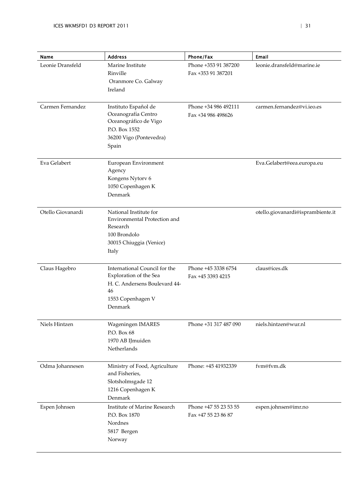| Name              | <b>Address</b>                                                                                                                 | Phone/Fax                                    | Email                             |
|-------------------|--------------------------------------------------------------------------------------------------------------------------------|----------------------------------------------|-----------------------------------|
| Leonie Dransfeld  | Marine Institute<br>Rinville<br>Oranmore Co. Galway<br>Ireland                                                                 | Phone +353 91 387200<br>Fax +353 91 387201   | leonie.dransfeld@marine.ie        |
| Carmen Fernandez  | Instituto Español de<br>Oceanografía Centro<br>Oceanográfico de Vigo<br>P.O. Box 1552<br>36200 Vigo (Pontevedra)<br>Spain      | Phone +34 986 492111<br>Fax +34 986 498626   | carmen.fernandez@vi.ieo.es        |
| Eva Gelabert      | European Environment<br>Agency<br>Kongens Nytorv 6<br>1050 Copenhagen K<br>Denmark                                             |                                              | Eva.Gelabert@eea.europa.eu        |
| Otello Giovanardi | National Institute for<br>Environmental Protection and<br>Research<br>100 Brondolo<br>30015 Chiuggia (Venice)<br>Italy         |                                              | otello.giovanardi@isprambiente.it |
| Claus Hagebro     | International Council for the<br>Exploration of the Sea<br>H. C. Andersens Boulevard 44-<br>46<br>1553 Copenhagen V<br>Denmark | Phone +45 3338 6754<br>Fax +45 3393 4215     | claus@ices.dk                     |
| Niels Hintzen     | Wageningen IMARES<br>P.O. Box 68<br>1970 AB IJmuiden<br>Netherlands                                                            | Phone +31 317 487 090                        | niels.hintzen@wur.nl              |
| Odma Johannesen   | Ministry of Food, Agriculture<br>and Fisheries,<br>Slotsholmsgade 12<br>1216 Copenhagen K<br>Denmark                           | Phone: +45 41932339                          | fvm@fvm.dk                        |
| Espen Johnsen     | Institute of Marine Research<br>P.O. Box 1870<br>Nordnes<br>5817 Bergen<br>Norway                                              | Phone +47 55 23 53 55<br>Fax +47 55 23 86 87 | espen.johnsen@imr.no              |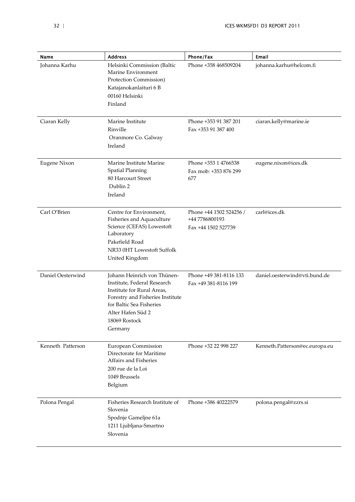| Name                | <b>Address</b>                                                                                                                                                                                            | Phone/Fax                                                        | Email                          |
|---------------------|-----------------------------------------------------------------------------------------------------------------------------------------------------------------------------------------------------------|------------------------------------------------------------------|--------------------------------|
| Johanna Karhu       | Helsinki Commission (Baltic<br>Marine Environment<br>Protection Commission)<br>Katajanokanlaituri 6 B<br>00160 Helsinki<br>Finland                                                                        | Phone +358 468509204                                             | johanna.karhu@helcom.fi        |
| Ciaran Kelly        | Marine Institute<br>Rinville<br>Oranmore Co. Galway<br>Ireland                                                                                                                                            | Phone +353 91 387 201<br>Fax +353 91 387 400                     | ciaran.kelly@marine.ie         |
| <b>Eugene Nixon</b> | Marine Institute Marine<br>Spatial Planning<br>80 Harcourt Street<br>Dublin 2<br>Ireland                                                                                                                  | Phone +353 1 4766538<br>Fax mob: +353 876 299<br>677             | eugene.nixon@ices.dk           |
| Carl O'Brien        | Centre for Environment,<br>Fisheries and Aquaculture<br>Science (CEFAS) Lowestoft<br>Laboratory<br>Pakefield Road<br>NR33 0HT Lowestoft Suffolk<br>United Kingdom                                         | Phone +44 1502 524256 /<br>+44 7786800193<br>Fax +44 1502 527739 | carl@ices.dk                   |
| Daniel Oesterwind   | Johann Heinrich von Thünen-<br>Institute, Federal Research<br>Institute for Rural Areas,<br>Forestry and Fisheries Institute<br>for Baltic Sea Fisheries<br>Alter Hafen Süd 2<br>18069 Rostock<br>Germany | Phone +49 381-8116 133<br>Fax +49 381-8116 199                   | daniel.oesterwind@vti.bund.de  |
| Kenneth Patterson   | European Commission<br>Directorate for Maritime<br>Affairs and Fisheries<br>200 rue de la Loi<br>1049 Brussels<br>Belgium                                                                                 | Phone +32 22 998 227                                             | Kenneth.Patterson@ec.europa.eu |
| Polona Pengal       | Fisheries Research Institute of<br>Slovenia<br>Spodnje Gameljne 61a<br>1211 Ljubljana-Smartno<br>Slovenia                                                                                                 | Phone +386 40222579                                              | polona.pengal@zzrs.si          |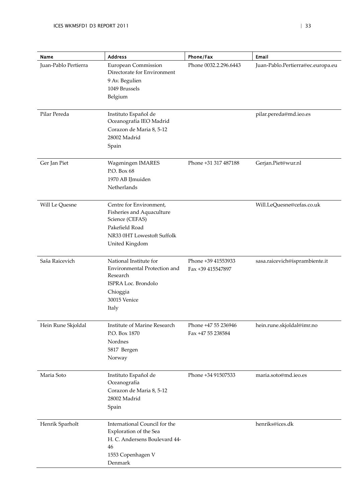| Name                 | <b>Address</b>                                                                                                                            | Phone/Fax                                | Email                             |
|----------------------|-------------------------------------------------------------------------------------------------------------------------------------------|------------------------------------------|-----------------------------------|
| Juan-Pablo Pertierra | <b>European Commission</b><br>Directorate for Environment<br>9 Av. Begulien<br>1049 Brussels<br>Belgium                                   | Phone 0032.2.296.6443                    | Juan-Pablo.Pertierra@ec.europa.eu |
| Pilar Pereda         | Instituto Español de<br>Oceanografía IEO Madrid<br>Corazon de Maria 8, 5-12<br>28002 Madrid<br>Spain                                      |                                          | pilar.pereda@md.ieo.es            |
| Ger Jan Piet         | Wageningen IMARES<br>P.O. Box 68<br>1970 AB IJmuiden<br>Netherlands                                                                       | Phone +31 317 487188                     | Gerjan.Piet@wur.nl                |
| Will Le Quesne       | Centre for Environment,<br>Fisheries and Aquaculture<br>Science (CEFAS)<br>Pakefield Road<br>NR33 0HT Lowestoft Suffolk<br>United Kingdom |                                          | Will.LeQuesne@cefas.co.uk         |
| Saša Raicevich       | National Institute for<br>Environmental Protection and<br>Research<br>ISPRA Loc. Brondolo<br>Chioggia<br>30015 Venice<br>Italy            | Phone +39 41553933<br>Fax +39 415547897  | sasa.raicevich@isprambiente.it    |
| Hein Rune Skjoldal   | Institute of Marine Research<br>P.O. Box 1870<br>Nordnes<br>5817 Bergen<br>Norway                                                         | Phone +47 55 236946<br>Fax +47 55 238584 | hein.rune.skjoldal@imr.no         |
| Maria Soto           | Instituto Español de<br>Oceanografía<br>Corazon de Maria 8, 5-12<br>28002 Madrid<br>Spain                                                 | Phone +34 91507533                       | maria.soto@md.ieo.es              |
| Henrik Sparholt      | International Council for the<br>Exploration of the Sea<br>H. C. Andersens Boulevard 44-<br>46<br>1553 Copenhagen V<br>Denmark            |                                          | henriks@ices.dk                   |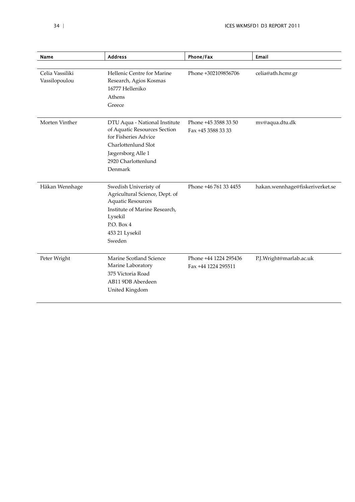| Name                             | <b>Address</b>                                                                                                                                                            | Phone/Fax                                    | Email                           |
|----------------------------------|---------------------------------------------------------------------------------------------------------------------------------------------------------------------------|----------------------------------------------|---------------------------------|
|                                  |                                                                                                                                                                           |                                              |                                 |
| Celia Vassiliki<br>Vassilopoulou | Hellenic Centre for Marine<br>Research, Agios Kosmas<br>16777 Helleniko<br>Athens<br>Greece                                                                               | Phone +302109856706                          | celia@ath.hcmr.gr               |
| Morten Vinther                   | DTU Aqua - National Institute<br>of Aquatic Resources Section<br>for Fisheries Advice<br>Charlottenlund Slot<br>Jægersborg Alle 1<br>2920 Charlottenlund<br>Denmark       | Phone +45 3588 33 50<br>Fax +45 3588 33 33   | mv@aqua.dtu.dk                  |
| Håkan Wennhage                   | Swedish Univeristy of<br>Agricultural Science, Dept. of<br><b>Aquatic Resources</b><br>Institute of Marine Research,<br>Lysekil<br>P.O. Box 4<br>453 21 Lysekil<br>Sweden | Phone +46 761 33 4455                        | hakan.wennhage@fiskeriverket.se |
| Peter Wright                     | Marine Scotland Science<br>Marine Laboratory<br>375 Victoria Road<br>AB11 9DB Aberdeen<br>United Kingdom                                                                  | Phone +44 1224 295436<br>Fax +44 1224 295511 | P.J.Wright@marlab.ac.uk         |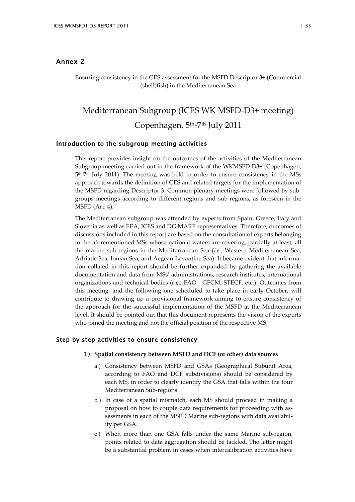## <span id="page-37-0"></span>Annex 2

Ensuring consistency in the GES assessment for the MSFD Descriptor 3+ (Commercial (shell)fish) in the Mediterranean Sea

# Mediterranean Subgroup (ICES WK MSFD-D3+ meeting) Copenhagen, 5th-7th July 2011

## Introduction to the subgroup meeting activities

This report provides insight on the outcomes of the activities of the Mediterranean Subgroup meeting carried out in the framework of the WKMSFD-D3+ (Copenhagen, 5th-7th July 2011). The meeting was held in order to ensure consistency in the MSs approach towards the definition of GES and related targets for the implementation of the MSFD regarding Descriptor 3. Common plenary meetings were followed by subgroups meetings according to different regions and sub-regions, as foreseen in the MSFD (Art. 4).

The Mediterranean subgroup was attended by experts from Spain, Greece, Italy and Slovenia as well as EEA, ICES and DG MARE representatives. Therefore, outcomes of discussions included in this report are based on the consultation of experts belonging to the aforementioned MSs whose national waters are covering, partially at least, all the marine sub-regions in the Mediterranean Sea (*i.e.,* Western Mediterranean Sea, Adriatic Sea, Ionian Sea, and Aegean-Levantine Sea). It became evident that information collated in this report should be further expanded by gathering the available documentation and data from MSs' administrations, research institutes, international organizations and technical bodies (*e.g.,* FAO - GFCM, STECF, etc.). Outcomes from this meeting, and the following one scheduled to take place in early October, will contribute to drawing up a provisional framework aiming to ensure consistency of the approach for the successful implementation of the MSFD at the Mediterranean level. It should be pointed out that this document represents the vision of the experts who joined the meeting and not the official position of the respective MS.

#### Step by step activities to ensure consistency

- **1 ) Spatial consistency between MSFD and DCF (or other) data sources**
	- a ) Consistency between MSFD and GSAs (Geographical Subunit Area, according to FAO and DCF subdivisions) should be considered by each MS, in order to clearly identify the GSA that falls within the four Mediterranean Sub-regions.
	- b ) In case of a spatial mismatch, each MS should proceed in making a proposal on how to couple data requirements for proceeding with assessments in each of the MSFD Marine sub-regions with data availability per GSA.
	- c ) When more than one GSA falls under the same Marine sub-region, points related to data aggregation should be tackled. The latter might be a substantial problem in cases when intercalibration activities have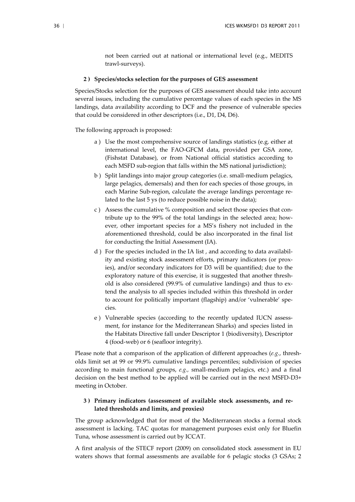not been carried out at national or international level (e.g., MEDITS trawl-surveys).

#### **2 ) Species/stocks selection for the purposes of GES assessment**

Species/Stocks selection for the purposes of GES assessment should take into account several issues, including the cumulative percentage values of each species in the MS landings, data availability according to DCF and the presence of vulnerable species that could be considered in other descriptors (i.e., D1, D4, D6).

The following approach is proposed:

- a ) Use the most comprehensive source of landings statistics (e.g. either at international level, the FAO-GFCM data, provided per GSA zone, (Fishstat Database), or from National official statistics according to each MSFD sub-region that falls within the MS national jurisdiction);
- b ) Split landings into major group categories (i.e. small-medium pelagics, large pelagics, demersals) and then for each species of those groups, in each Marine Sub-region, calculate the average landings percentage related to the last 5 ys (to reduce possible noise in the data);
- c ) Assess the cumulative % composition and select those species that contribute up to the 99% of the total landings in the selected area; however, other important species for a MS's fishery not included in the aforementioned threshold, could be also incorporated in the final list for conducting the Initial Assessment (IA).
- d ) For the species included in the IA list , and according to data availability and existing stock assessment efforts, primary indicators (or proxies), and/or secondary indicators for D3 will be quantified; due to the exploratory nature of this exercise, it is suggested that another threshold is also considered (99.9% of cumulative landings) and thus to extend the analysis to all species included within this threshold in order to account for politically important (flagship) and/or 'vulnerable' species.
- e ) Vulnerable species (according to the recently updated IUCN assessment, for instance for the Mediterranean Sharks) and species listed in the Habitats Directive fall under Descriptor 1 (biodiversity), Descriptor 4 (food-web) or 6 (seafloor integrity).

Please note that a comparison of the application of different approaches (*e.g.*, thresholds limit set at 99 or 99.9% cumulative landings percentiles; subdivision of species according to main functional groups, *e.g.,* small-medium pelagics, etc.) and a final decision on the best method to be applied will be carried out in the next MSFD-D3+ meeting in October.

## **3 ) Primary indicators (assessment of available stock assessments, and related thresholds and limits, and proxies)**

The group acknowledged that for most of the Mediterranean stocks a formal stock assessment is lacking. TAC quotas for management purposes exist only for Bluefin Tuna, whose assessment is carried out by ICCAT.

A first analysis of the STECF report (2009) on consolidated stock assessment in EU waters shows that formal assessments are available for 6 pelagic stocks (3 GSAs; 2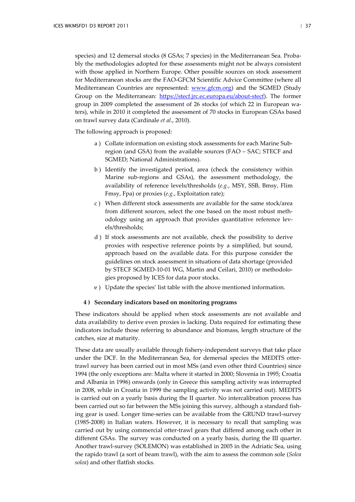species) and 12 demersal stocks (8 GSAs; 7 species) in the Mediterranean Sea. Probably the methodologies adopted for these assessments might not be always consistent with those applied in Northern Europe. Other possible sources on stock assessment for Mediterranean stocks are the FAO-GFCM Scientific Advice Committee (where all Mediterranean Countries are represented: [www.gfcm.org\)](http://www.gfcm.org/) and the SGMED (Study Group on the Mediterranean: [https://stecf.jrc.ec.europa.eu/about-stecf\)](https://stecf.jrc.ec.europa.eu/about-stecf). The former group in 2009 completed the assessment of 26 stocks (of which 22 in European waters), while in 2010 it completed the assessment of 70 stocks in European GSAs based on trawl survey data (Cardinale *et al*., 2010).

The following approach is proposed:

- a ) Collate information on existing stock assessments for each Marine Subregion (and GSA) from the available sources (FAO – SAC; STECF and SGMED; National Administrations).
- b ) Identify the investigated period, area (check the consistency within Marine sub-regions and GSAs), the assessment methodology, the availability of reference levels/thresholds (*e.g.*, MSY, SSB, Bmsy, Flim Fmsy, Fpa) or proxies (*e.g.*, Exploitation rate);
- c ) When different stock assessments are available for the same stock/area from different sources, select the one based on the most robust methodology using an approach that provides quantitative reference levels/thresholds;
- d ) If stock assessments are not available, check the possibility to derive proxies with respective reference points by a simplified, but sound, approach based on the available data. For this purpose consider the guidelines on stock assessment in situations of data shortage (provided by STECF SGMED-10-01 WG, Martin and Ceilari, 2010) or methodologies proposed by ICES for data poor stocks.
- e ) Update the species' list table with the above mentioned information.

### **4 ) Secondary indicators based on monitoring programs**

These indicators should be applied when stock assessments are not available and data availability to derive even proxies is lacking. Data required for estimating these indicators include those referring to abundance and biomass, length structure of the catches, size at maturity.

These data are usually available through fishery-independent surveys that take place under the DCF. In the Mediterranean Sea, for demersal species the MEDITS ottertrawl survey has been carried out in most MSs (and even other third Countries) since 1994 (the only exceptions are: Malta where it started in 2000; Slovenia in 1995; Croatia and Albania in 1996) onwards (only in Greece this sampling activity was interrupted in 2008, while in Croatia in 1999 the sampling activity was not carried out). MEDITS is carried out on a yearly basis during the II quarter. No intercalibration process has been carried out so far between the MSs joining this survey, although a standard fishing gear is used. Longer time-series can be available from the GRUND trawl-survey (1985-2008) in Italian waters. However, it is necessary to recall that sampling was carried out by using commercial otter-trawl gears that differed among each other in different GSAs. The survey was conducted on a yearly basis, during the III quarter. Another trawl-survey (SOLEMON) was established in 2005 in the Adriatic Sea, using the rapido trawl (a sort of beam trawl), with the aim to assess the common sole (*Solea solea*) and other flatfish stocks.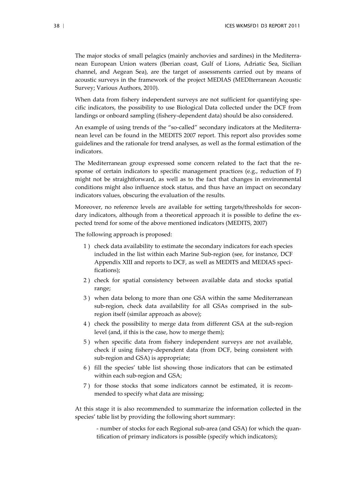The major stocks of small pelagics (mainly anchovies and sardines) in the Mediterranean European Union waters (Iberian coast, Gulf of Lions, Adriatic Sea, Sicilian channel, and Aegean Sea), are the target of assessments carried out by means of acoustic surveys in the framework of the project MEDIAS (MEDIterranean Acoustic Survey; Various Authors, 2010).

When data from fishery independent surveys are not sufficient for quantifying specific indicators, the possibility to use Biological Data collected under the DCF from landings or onboard sampling (fishery-dependent data) should be also considered.

An example of using trends of the "so-called" secondary indicators at the Mediterranean level can be found in the MEDITS 2007 report. This report also provides some guidelines and the rationale for trend analyses, as well as the formal estimation of the indicators.

The Mediterranean group expressed some concern related to the fact that the response of certain indicators to specific management practices (e.g., reduction of F) might not be straightforward, as well as to the fact that changes in environmental conditions might also influence stock status, and thus have an impact on secondary indicators values, obscuring the evaluation of the results.

Moreover, no reference levels are available for setting targets/thresholds for secondary indicators, although from a theoretical approach it is possible to define the expected trend for some of the above mentioned indicators (MEDITS, 2007)

The following approach is proposed:

- 1 ) check data availability to estimate the secondary indicators for each species included in the list within each Marine Sub-region (see, for instance, DCF Appendix XIII and reports to DCF, as well as MEDITS and MEDIAS specifications);
- 2 ) check for spatial consistency between available data and stocks spatial range;
- 3 ) when data belong to more than one GSA within the same Mediterranean sub-region, check data availability for all GSAs comprised in the subregion itself (similar approach as above);
- 4 ) check the possibility to merge data from different GSA at the sub-region level (and, if this is the case, how to merge them);
- 5 ) when specific data from fishery independent surveys are not available, check if using fishery-dependent data (from DCF, being consistent with sub-region and GSA) is appropriate;
- 6 ) fill the species' table list showing those indicators that can be estimated within each sub-region and GSA;
- 7 ) for those stocks that some indicators cannot be estimated, it is recommended to specify what data are missing;

At this stage it is also recommended to summarize the information collected in the species' table list by providing the following short summary:

- number of stocks for each Regional sub-area (and GSA) for which the quantification of primary indicators is possible (specify which indicators);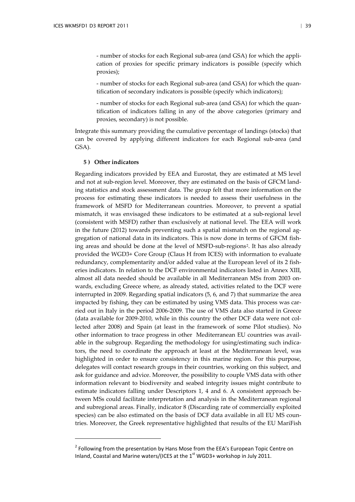- number of stocks for each Regional sub-area (and GSA) for which the application of proxies for specific primary indicators is possible (specify which proxies);

- number of stocks for each Regional sub-area (and GSA) for which the quantification of secondary indicators is possible (specify which indicators);

- number of stocks for each Regional sub-area (and GSA) for which the quantification of indicators falling in any of the above categories (primary and proxies, secondary) is not possible.

Integrate this summary providing the cumulative percentage of landings (stocks) that can be covered by applying different indicators for each Regional sub-area (and GSA).

#### **5 ) Other indicators**

l

Regarding indicators provided by EEA and Eurostat, they are estimated at MS level and not at sub-region level. Moreover, they are estimated on the basis of GFCM landing statistics and stock assessment data. The group felt that more information on the process for estimating these indicators is needed to assess their usefulness in the framework of MSFD for Mediterranean countries. Moreover, to prevent a spatial mismatch, it was envisaged these indicators to be estimated at a sub-regional level (consistent with MSFD) rather than exclusively at national level. The EEA will work in the future (2012) towards preventing such a spatial mismatch on the regional aggregation of national data in its indicators. This is now done in terms of GFCM fishing areas and should be done at the level of MSFD-sub-regions[2.](#page-41-0) It has also already provided the WGD3+ Core Group (Claus H from ICES) with information to evaluate redundancy, complementarity and/or added value at the European level of its 2 fisheries indicators. In relation to the DCF environmental indicators listed in Annex XIII, almost all data needed should be available in all Mediterranean MSs from 2003 onwards, excluding Greece where, as already stated, activities related to the DCF were interrupted in 2009. Regarding spatial indicators (5, 6, and 7) that summarize the area impacted by fishing, they can be estimated by using VMS data. This process was carried out in Italy in the period 2006-2009. The use of VMS data also started in Greece (data available for 2009-2010, while in this country the other DCF data were not collected after 2008) and Spain (at least in the framework of some Pilot studies). No other information to trace progress in other Mediterranean EU countries was available in the subgroup. Regarding the methodology for using/estimating such indicators, the need to coordinate the approach at least at the Mediterranean level, was highlighted in order to ensure consistency in this marine region. For this purpose, delegates will contact research groups in their countries, working on this subject, and ask for guidance and advice. Moreover, the possibility to couple VMS data with other information relevant to biodiversity and seabed integrity issues might contribute to estimate indicators falling under Descriptors 1, 4 and 6. A consistent approach between MSs could facilitate interpretation and analysis in the Mediterranean regional and subregional areas. Finally, indicator 8 (Discarding rate of commercially exploited species) can be also estimated on the basis of DCF data available in all EU MS countries. Moreover, the Greek representative highlighted that results of the EU MariFish

<span id="page-41-0"></span><sup>&</sup>lt;sup>2</sup> Following from the presentation by Hans Mose from the EEA's European Topic Centre on Inland, Coastal and Marine waters/(ICES at the 1<sup>st</sup> WGD3+ workshop in July 2011.